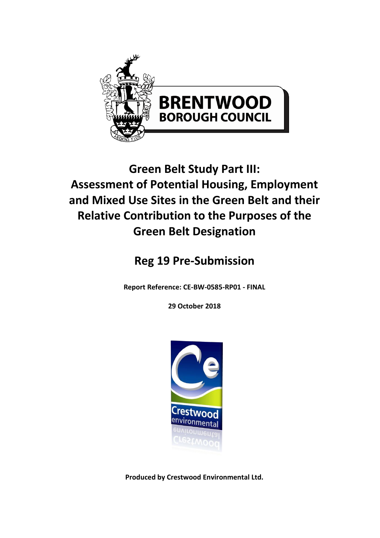

# **Green Belt Study Part III: Assessment of Potential Housing, Employment and Mixed Use Sites in the Green Belt and their Relative Contribution to the Purposes of the Green Belt Designation**

# **Reg 19 Pre-Submission**

**Report Reference: CE-BW-0585-RP01 - FINAL**

**29 October 2018**



**Produced by Crestwood Environmental Ltd.**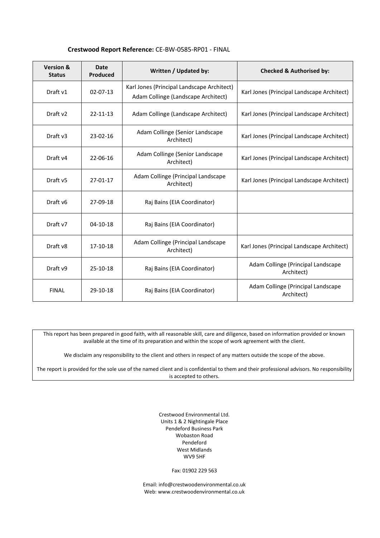### **Crestwood Report Reference:** CE-BW-0585-RP01 - FINAL

| <b>Version &amp;</b><br><b>Status</b> | <b>Date</b><br>Produced | Written / Updated by:                                                             | <b>Checked &amp; Authorised by:</b>              |
|---------------------------------------|-------------------------|-----------------------------------------------------------------------------------|--------------------------------------------------|
| Draft v1                              | $02 - 07 - 13$          | Karl Jones (Principal Landscape Architect)<br>Adam Collinge (Landscape Architect) | Karl Jones (Principal Landscape Architect)       |
| Draft v2                              | $22 - 11 - 13$          | Adam Collinge (Landscape Architect)                                               | Karl Jones (Principal Landscape Architect)       |
| Draft v3                              | 23-02-16                | Adam Collinge (Senior Landscape<br>Architect)                                     | Karl Jones (Principal Landscape Architect)       |
| Draft v4                              | 22-06-16                | Adam Collinge (Senior Landscape<br>Architect)                                     | Karl Jones (Principal Landscape Architect)       |
| Draft v5                              | $27 - 01 - 17$          | Adam Collinge (Principal Landscape<br>Architect)                                  | Karl Jones (Principal Landscape Architect)       |
| Draft v <sub>6</sub>                  | 27-09-18                | Raj Bains (EIA Coordinator)                                                       |                                                  |
| Draft v7                              | $04-10-18$              | Raj Bains (EIA Coordinator)                                                       |                                                  |
| Draft v8                              | 17-10-18                | Adam Collinge (Principal Landscape<br>Architect)                                  | Karl Jones (Principal Landscape Architect)       |
| Draft v9                              | $25-10-18$              | Raj Bains (EIA Coordinator)                                                       | Adam Collinge (Principal Landscape<br>Architect) |
| <b>FINAL</b>                          | 29-10-18                | Raj Bains (EIA Coordinator)                                                       | Adam Collinge (Principal Landscape<br>Architect) |

This report has been prepared in good faith, with all reasonable skill, care and diligence, based on information provided or known available at the time of its preparation and within the scope of work agreement with the client.

We disclaim any responsibility to the client and others in respect of any matters outside the scope of the above.

The report is provided for the sole use of the named client and is confidential to them and their professional advisors. No responsibility is accepted to others.

> Crestwood Environmental Ltd. Units 1 & 2 Nightingale Place Pendeford Business Park Wobaston Road Pendeford West Midlands WV9 5HF

> > Fax: 01902 229 563

Email[: info@crestwoodenvironmental.co.uk](mailto:info@crestwoodenvironmental.co.uk) Web: www.crestwoodenvironmental.co.uk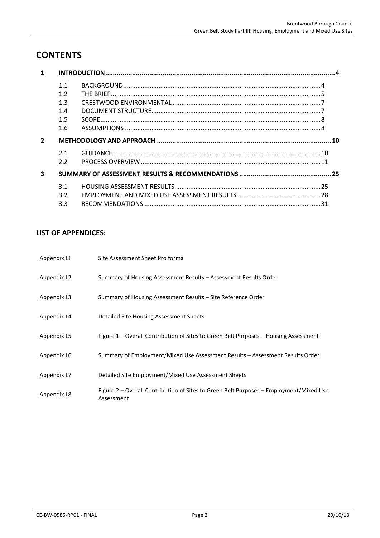# **CONTENTS**

|                         | 1.1<br>1.2<br>1.3<br>1.4<br>1.5<br>1.6 |  |
|-------------------------|----------------------------------------|--|
| $\overline{2}$          |                                        |  |
|                         | 2.1<br>2.2                             |  |
| $\overline{\mathbf{3}}$ |                                        |  |
|                         | 3.1<br>3.2<br>3.3                      |  |

# **LIST OF APPENDICES:**

| Appendix L1 | Site Assessment Sheet Pro forma                                                                      |
|-------------|------------------------------------------------------------------------------------------------------|
| Appendix L2 | Summary of Housing Assessment Results – Assessment Results Order                                     |
| Appendix L3 | Summary of Housing Assessment Results – Site Reference Order                                         |
| Appendix L4 | Detailed Site Housing Assessment Sheets                                                              |
| Appendix L5 | Figure 1 – Overall Contribution of Sites to Green Belt Purposes – Housing Assessment                 |
| Appendix L6 | Summary of Employment/Mixed Use Assessment Results – Assessment Results Order                        |
| Appendix L7 | Detailed Site Employment/Mixed Use Assessment Sheets                                                 |
| Appendix L8 | Figure 2 – Overall Contribution of Sites to Green Belt Purposes – Employment/Mixed Use<br>Assessment |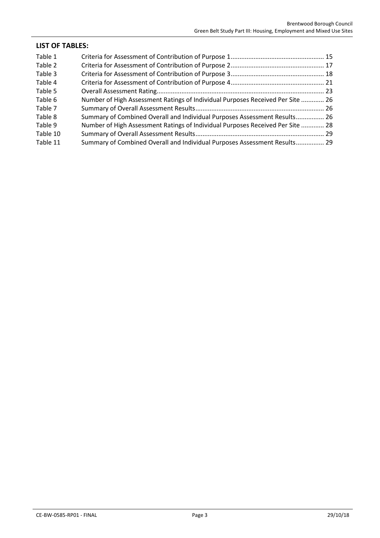| <b>LIST OF TABLES:</b> |                                                                                |  |
|------------------------|--------------------------------------------------------------------------------|--|
| Table 1                |                                                                                |  |
| Table 2                |                                                                                |  |
| Table 3                |                                                                                |  |
| Table 4                |                                                                                |  |
| Table 5                |                                                                                |  |
| Table 6                | Number of High Assessment Ratings of Individual Purposes Received Per Site  26 |  |
| Table 7                |                                                                                |  |
| Table 8                | Summary of Combined Overall and Individual Purposes Assessment Results 26      |  |
| Table 9                | Number of High Assessment Ratings of Individual Purposes Received Per Site  28 |  |
| Table 10               |                                                                                |  |
| Table 11               | Summary of Combined Overall and Individual Purposes Assessment Results 29      |  |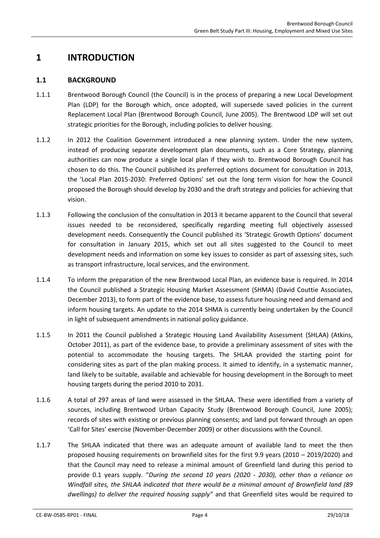# <span id="page-4-1"></span><span id="page-4-0"></span>**1 INTRODUCTION**

# **1.1 BACKGROUND**

- 1.1.1 Brentwood Borough Council (the Council) is in the process of preparing a new Local Development Plan (LDP) for the Borough which, once adopted, will supersede saved policies in the current Replacement Local Plan (Brentwood Borough Council, June 2005). The Brentwood LDP will set out strategic priorities for the Borough, including policies to deliver housing.
- 1.1.2 In 2012 the Coalition Government introduced a new planning system. Under the new system, instead of producing separate development plan documents, such as a Core Strategy, planning authorities can now produce a single local plan if they wish to. Brentwood Borough Council has chosen to do this. The Council published its preferred options document for consultation in 2013, the 'Local Plan 2015-2030: Preferred Options' set out the long term vision for how the Council proposed the Borough should develop by 2030 and the draft strategy and policies for achieving that vision.
- 1.1.3 Following the conclusion of the consultation in 2013 it became apparent to the Council that several issues needed to be reconsidered, specifically regarding meeting full objectively assessed development needs. Consequently the Council published its 'Strategic Growth Options' document for consultation in January 2015, which set out all sites suggested to the Council to meet development needs and information on some key issues to consider as part of assessing sites, such as transport infrastructure, local services, and the environment.
- <span id="page-4-2"></span>1.1.4 To inform the preparation of the new Brentwood Local Plan, an evidence base is required. In 2014 the Council published a Strategic Housing Market Assessment (SHMA) (David Couttie Associates, December 2013), to form part of the evidence base, to assess future housing need and demand and inform housing targets. An update to the 2014 SHMA is currently being undertaken by the Council in light of subsequent amendments in national policy guidance.
- 1.1.5 In 2011 the Council published a Strategic Housing Land Availability Assessment (SHLAA) (Atkins, October 2011), as part of the evidence base, to provide a preliminary assessment of sites with the potential to accommodate the housing targets. The SHLAA provided the starting point for considering sites as part of the plan making process. It aimed to identify, in a systematic manner, land likely to be suitable, available and achievable for housing development in the Borough to meet housing targets during the period 2010 to 2031.
- 1.1.6 A total of 297 areas of land were assessed in the SHLAA. These were identified from a variety of sources, including Brentwood Urban Capacity Study (Brentwood Borough Council, June 2005); records of sites with existing or previous planning consents; and land put forward through an open 'Call for Sites' exercise (November-December 2009) or other discussions with the Council.
- 1.1.7 The SHLAA indicated that there was an adequate amount of available land to meet the then proposed housing requirements on brownfield sites for the first 9.9 years (2010 – 2019/2020) and that the Council may need to release a minimal amount of Greenfield land during this period to provide 0.1 years supply. "*During the second 10 years (2020 - 2030), other than a reliance on Windfall sites, the SHLAA indicated that there would be a minimal amount of Brownfield land (89 dwellings) to deliver the required housing supply"* and that Greenfield sites would be required to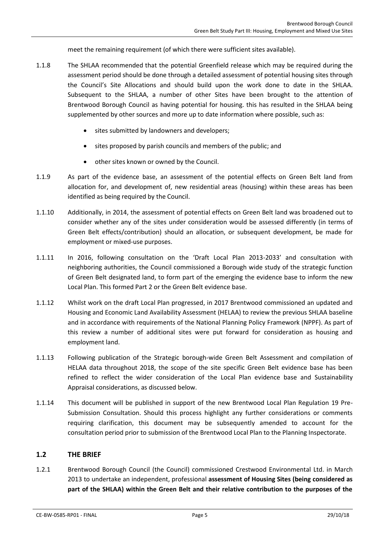meet the remaining requirement (of which there were sufficient sites available).

- 1.1.8 The SHLAA recommended that the potential Greenfield release which may be required during the assessment period should be done through a detailed assessment of potential housing sites through the Council's Site Allocations and should build upon the work done to date in the SHLAA. Subsequent to the SHLAA, a number of other Sites have been brought to the attention of Brentwood Borough Council as having potential for housing. this has resulted in the SHLAA being supplemented by other sources and more up to date information where possible, such as:
	- **•** sites submitted by landowners and developers;
	- sites proposed by parish councils and members of the public; and
	- other sites known or owned by the Council.
- 1.1.9 As part of the evidence base, an assessment of the potential effects on Green Belt land from allocation for, and development of, new residential areas (housing) within these areas has been identified as being required by the Council.
- 1.1.10 Additionally, in 2014, the assessment of potential effects on Green Belt land was broadened out to consider whether any of the sites under consideration would be assessed differently (in terms of Green Belt effects/contribution) should an allocation, or subsequent development, be made for employment or mixed-use purposes.
- 1.1.11 In 2016, following consultation on the 'Draft Local Plan 2013-2033' and consultation with neighboring authorities, the Council commissioned a Borough wide study of the strategic function of Green Belt designated land, to form part of the emerging the evidence base to inform the new Local Plan. This formed Part 2 or the Green Belt evidence base.
- 1.1.12 Whilst work on the draft Local Plan progressed, in 2017 Brentwood commissioned an updated and Housing and Economic Land Availability Assessment (HELAA) to review the previous SHLAA baseline and in accordance with requirements of the National Planning Policy Framework (NPPF). As part of this review a number of additional sites were put forward for consideration as housing and employment land.
- 1.1.13 Following publication of the Strategic borough-wide Green Belt Assessment and compilation of HELAA data throughout 2018, the scope of the site specific Green Belt evidence base has been refined to reflect the wider consideration of the Local Plan evidence base and Sustainability Appraisal considerations, as discussed below.
- 1.1.14 This document will be published in support of the new Brentwood Local Plan Regulation 19 Pre-Submission Consultation. Should this process highlight any further considerations or comments requiring clarification, this document may be subsequently amended to account for the consultation period prior to submission of the Brentwood Local Plan to the Planning Inspectorate.

### <span id="page-5-0"></span>**1.2 THE BRIEF**

1.2.1 Brentwood Borough Council (the Council) commissioned Crestwood Environmental Ltd. in March 2013 to undertake an independent, professional **assessment of Housing Sites (being considered as part of the SHLAA) within the Green Belt and their relative contribution to the purposes of the**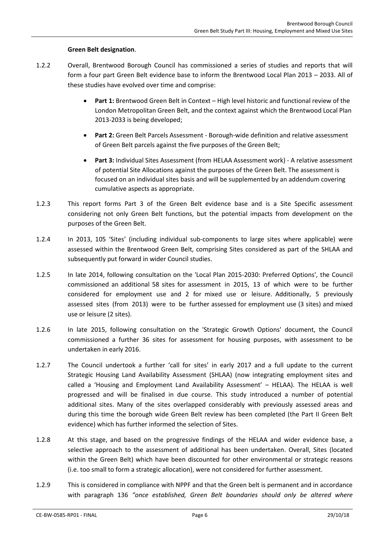### **Green Belt designation**.

- 1.2.2 Overall, Brentwood Borough Council has commissioned a series of studies and reports that will form a four part Green Belt evidence base to inform the Brentwood Local Plan 2013 – 2033. All of these studies have evolved over time and comprise:
	- **Part 1:** Brentwood Green Belt in Context High level historic and functional review of the London Metropolitan Green Belt, and the context against which the Brentwood Local Plan 2013-2033 is being developed;
	- **Part 2:** Green Belt Parcels Assessment Borough-wide definition and relative assessment of Green Belt parcels against the five purposes of the Green Belt;
	- **Part 3:** Individual Sites Assessment (from HELAA Assessment work) A relative assessment of potential Site Allocations against the purposes of the Green Belt. The assessment is focused on an individual sites basis and will be supplemented by an addendum covering cumulative aspects as appropriate.
- 1.2.3 This report forms Part 3 of the Green Belt evidence base and is a Site Specific assessment considering not only Green Belt functions, but the potential impacts from development on the purposes of the Green Belt.
- 1.2.4 In 2013, 105 'Sites' (including individual sub-components to large sites where applicable) were assessed within the Brentwood Green Belt, comprising Sites considered as part of the SHLAA and subsequently put forward in wider Council studies.
- 1.2.5 In late 2014, following consultation on the 'Local Plan 2015-2030: Preferred Options', the Council commissioned an additional 58 sites for assessment in 2015, 13 of which were to be further considered for employment use and 2 for mixed use or leisure. Additionally, 5 previously assessed sites (from 2013) were to be further assessed for employment use (3 sites) and mixed use or leisure (2 sites).
- 1.2.6 In late 2015, following consultation on the 'Strategic Growth Options' document, the Council commissioned a further 36 sites for assessment for housing purposes, with assessment to be undertaken in early 2016.
- 1.2.7 The Council undertook a further 'call for sites' in early 2017 and a full update to the current Strategic Housing Land Availability Assessment (SHLAA) (now integrating employment sites and called a 'Housing and Employment Land Availability Assessment' – HELAA). The HELAA is well progressed and will be finalised in due course. This study introduced a number of potential additional sites. Many of the sites overlapped considerably with previously assessed areas and during this time the borough wide Green Belt review has been completed (the Part II Green Belt evidence) which has further informed the selection of Sites.
- 1.2.8 At this stage, and based on the progressive findings of the HELAA and wider evidence base, a selective approach to the assessment of additional has been undertaken. Overall, Sites (located within the Green Belt) which have been discounted for other environmental or strategic reasons (i.e. too small to form a strategic allocation), were not considered for further assessment.
- 1.2.9 This is considered in compliance with NPPF and that the Green belt is permanent and in accordance with paragraph 136 *"once established, Green Belt boundaries should only be altered where*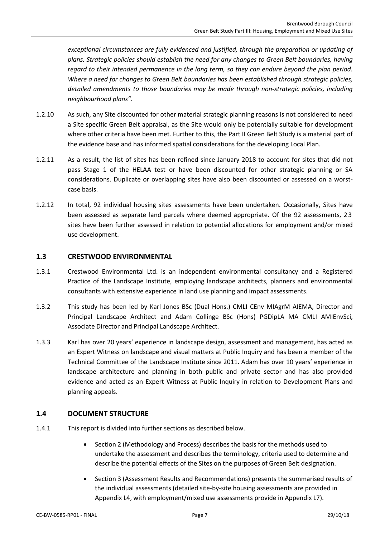*exceptional circumstances are fully evidenced and justified, through the preparation or updating of plans. Strategic policies should establish the need for any changes to Green Belt boundaries, having regard to their intended permanence in the long term, so they can endure beyond the plan period. Where a need for changes to Green Belt boundaries has been established through strategic policies, detailed amendments to those boundaries may be made through non-strategic policies, including neighbourhood plans".*

- 1.2.10 As such, any Site discounted for other material strategic planning reasons is not considered to need a Site specific Green Belt appraisal, as the Site would only be potentially suitable for development where other criteria have been met. Further to this, the Part II Green Belt Study is a material part of the evidence base and has informed spatial considerations for the developing Local Plan.
- 1.2.11 As a result, the list of sites has been refined since January 2018 to account for sites that did not pass Stage 1 of the HELAA test or have been discounted for other strategic planning or SA considerations. Duplicate or overlapping sites have also been discounted or assessed on a worstcase basis.
- 1.2.12 In total, 92 individual housing sites assessments have been undertaken. Occasionally, Sites have been assessed as separate land parcels where deemed appropriate. Of the 92 assessments, 2 3 sites have been further assessed in relation to potential allocations for employment and/or mixed use development.

# <span id="page-7-0"></span>**1.3 CRESTWOOD ENVIRONMENTAL**

- 1.3.1 Crestwood Environmental Ltd. is an independent environmental consultancy and a Registered Practice of the Landscape Institute, employing landscape architects, planners and environmental consultants with extensive experience in land use planning and impact assessments.
- 1.3.2 This study has been led by Karl Jones BSc (Dual Hons.) CMLI CEnv MIAgrM AIEMA, Director and Principal Landscape Architect and Adam Collinge BSc (Hons) PGDipLA MA CMLI AMIEnvSci, Associate Director and Principal Landscape Architect.
- 1.3.3 Karl has over 20 years' experience in landscape design, assessment and management, has acted as an Expert Witness on landscape and visual matters at Public Inquiry and has been a member of the Technical Committee of the Landscape Institute since 2011. Adam has over 10 years' experience in landscape architecture and planning in both public and private sector and has also provided evidence and acted as an Expert Witness at Public Inquiry in relation to Development Plans and planning appeals.

# <span id="page-7-1"></span>**1.4 DOCUMENT STRUCTURE**

- 1.4.1 This report is divided into further sections as described below.
	- Section 2 (Methodology and Process) describes the basis for the methods used to undertake the assessment and describes the terminology, criteria used to determine and describe the potential effects of the Sites on the purposes of Green Belt designation.
	- Section 3 (Assessment Results and Recommendations) presents the summarised results of the individual assessments (detailed site-by-site housing assessments are provided in Appendix L4, with employment/mixed use assessments provide in Appendix L7).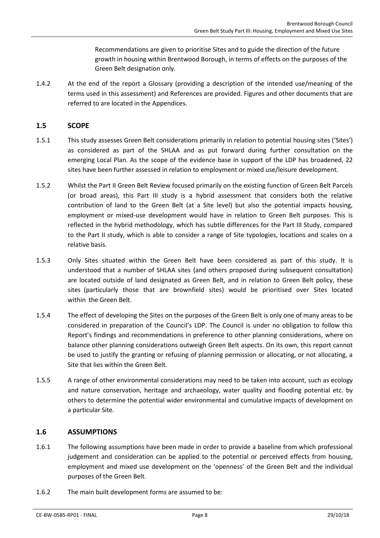Recommendations are given to prioritise Sites and to guide the direction of the future growth in housing within Brentwood Borough, in terms of effects on the purposes of the Green Belt designation only.

1.4.2 At the end of the report a Glossary (providing a description of the intended use/meaning of the terms used in this assessment) and References are provided. Figures and other documents that are referred to are located in the Appendices.

### <span id="page-8-0"></span>**1.5 SCOPE**

- 1.5.1 This study assesses Green Belt considerations primarily in relation to potential housing sites ('Sites') as considered as part of the SHLAA and as put forward during further consultation on the emerging Local Plan. As the scope of the evidence base in support of the LDP has broadened, 22 sites have been further assessed in relation to employment or mixed use/leisure development.
- 1.5.2 Whilst the Part II Green Belt Review focused primarily on the existing function of Green Belt Parcels (or broad areas), this Part III study is a hybrid assessment that considers both the relative contribution of land to the Green Belt (at a Site level) but also the potential impacts housing, employment or mixed-use development would have in relation to Green Belt purposes. This is reflected in the hybrid methodology, which has subtle differences for the Part III Study, compared to the Part II study, which is able to consider a range of Site typologies, locations and scales on a relative basis.
- 1.5.3 Only Sites situated within the Green Belt have been considered as part of this study. It is understood that a number of SHLAA sites (and others proposed during subsequent consultation) are located outside of land designated as Green Belt, and in relation to Green Belt policy, these sites (particularly those that are brownfield sites) would be prioritised over Sites located within the Green Belt.
- 1.5.4 The effect of developing the Sites on the purposes of the Green Belt is only one of many areas to be considered in preparation of the Council's LDP. The Council is under no obligation to follow this Report's findings and recommendations in preference to other planning considerations, where on balance other planning considerations outweigh Green Belt aspects. On its own, this report cannot be used to justify the granting or refusing of planning permission or allocating, or not allocating, a Site that lies within the Green Belt.
- 1.5.5 A range of other environmental considerations may need to be taken into account, such as ecology and nature conservation, heritage and archaeology, water quality and flooding potential etc. by others to determine the potential wider environmental and cumulative impacts of development on a particular Site.

### <span id="page-8-1"></span>**1.6 ASSUMPTIONS**

- 1.6.1 The following assumptions have been made in order to provide a baseline from which professional judgement and consideration can be applied to the potential or perceived effects from housing, employment and mixed use development on the 'openness' of the Green Belt and the individual purposes of the Green Belt.
- 1.6.2 The main built development forms are assumed to be: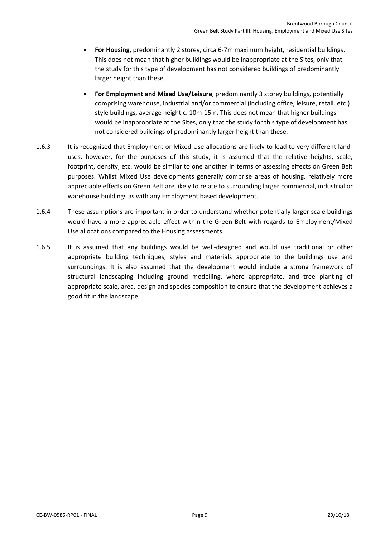- **For Housing**, predominantly 2 storey, circa 6-7m maximum height, residential buildings. This does not mean that higher buildings would be inappropriate at the Sites, only that the study for this type of development has not considered buildings of predominantly larger height than these.
- **For Employment and Mixed Use/Leisure**, predominantly 3 storey buildings, potentially comprising warehouse, industrial and/or commercial (including office, leisure, retail. etc.) style buildings, average height c. 10m-15m. This does not mean that higher buildings would be inappropriate at the Sites, only that the study for this type of development has not considered buildings of predominantly larger height than these.
- 1.6.3 It is recognised that Employment or Mixed Use allocations are likely to lead to very different landuses, however, for the purposes of this study, it is assumed that the relative heights, scale, footprint, density, etc. would be similar to one another in terms of assessing effects on Green Belt purposes. Whilst Mixed Use developments generally comprise areas of housing, relatively more appreciable effects on Green Belt are likely to relate to surrounding larger commercial, industrial or warehouse buildings as with any Employment based development.
- 1.6.4 These assumptions are important in order to understand whether potentially larger scale buildings would have a more appreciable effect within the Green Belt with regards to Employment/Mixed Use allocations compared to the Housing assessments.
- 1.6.5 It is assumed that any buildings would be well-designed and would use traditional or other appropriate building techniques, styles and materials appropriate to the buildings use and surroundings. It is also assumed that the development would include a strong framework of structural landscaping including ground modelling, where appropriate, and tree planting of appropriate scale, area, design and species composition to ensure that the development achieves a good fit in the landscape.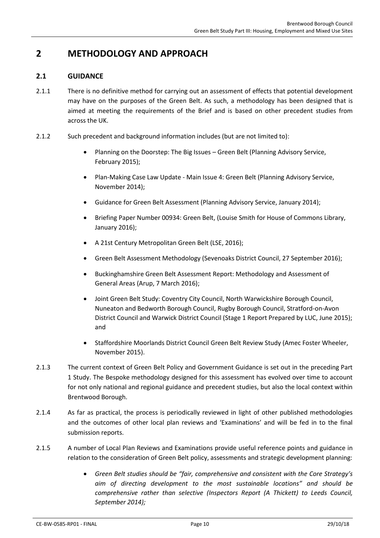# <span id="page-10-0"></span>**2 METHODOLOGY AND APPROACH**

# <span id="page-10-1"></span>**2.1 GUIDANCE**

- 2.1.1 There is no definitive method for carrying out an assessment of effects that potential development may have on the purposes of the Green Belt. As such, a methodology has been designed that is aimed at meeting the requirements of the Brief and is based on other precedent studies from across the UK.
- 2.1.2 Such precedent and background information includes (but are not limited to):
	- Planning on the Doorstep: The Big Issues Green Belt (Planning Advisory Service, February 2015);
	- Plan-Making Case Law Update Main Issue 4: Green Belt (Planning Advisory Service, November 2014);
	- Guidance for Green Belt Assessment (Planning Advisory Service, January 2014);
	- Briefing Paper Number 00934: Green Belt, (Louise Smith for House of Commons Library, January 2016);
	- A 21st Century Metropolitan Green Belt (LSE, 2016);
	- Green Belt Assessment Methodology (Sevenoaks District Council, 27 September 2016);
	- Buckinghamshire Green Belt Assessment Report: Methodology and Assessment of General Areas (Arup, 7 March 2016);
	- Joint Green Belt Study: Coventry City Council, North Warwickshire Borough Council, Nuneaton and Bedworth Borough Council, Rugby Borough Council, Stratford-on-Avon District Council and Warwick District Council (Stage 1 Report Prepared by LUC, June 2015); and
	- Staffordshire Moorlands District Council Green Belt Review Study (Amec Foster Wheeler, November 2015).
- 2.1.3 The current context of Green Belt Policy and Government Guidance is set out in the preceding Part 1 Study. The Bespoke methodology designed for this assessment has evolved over time to account for not only national and regional guidance and precedent studies, but also the local context within Brentwood Borough.
- 2.1.4 As far as practical, the process is periodically reviewed in light of other published methodologies and the outcomes of other local plan reviews and 'Examinations' and will be fed in to the final submission reports.
- 2.1.5 A number of Local Plan Reviews and Examinations provide useful reference points and guidance in relation to the consideration of Green Belt policy, assessments and strategic development planning:
	- *Green Belt studies should be "fair, comprehensive and consistent with the Core Strategy's aim of directing development to the most sustainable locations" and should be comprehensive rather than selective (Inspectors Report (A Thickett) to Leeds Council, September 2014);*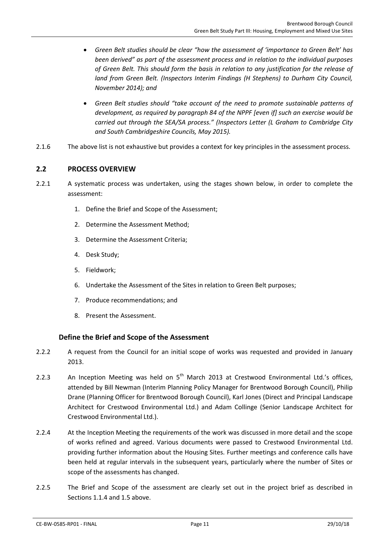- *Green Belt studies should be clear "how the assessment of 'importance to Green Belt' has been derived" as part of the assessment process and in relation to the individual purposes of Green Belt. This should form the basis in relation to any justification for the release of land from Green Belt. (Inspectors Interim Findings (H Stephens) to Durham City Council, November 2014); and*
- *Green Belt studies should "take account of the need to promote sustainable patterns of development, as required by paragraph 84 of the NPPF [even if] such an exercise would be carried out through the SEA/SA process." (Inspectors Letter (L Graham to Cambridge City and South Cambridgeshire Councils, May 2015).*
- 2.1.6 The above list is not exhaustive but provides a context for key principles in the assessment process.

### <span id="page-11-0"></span>**2.2 PROCESS OVERVIEW**

- 2.2.1 A systematic process was undertaken, using the stages shown below, in order to complete the assessment:
	- 1. Define the Brief and Scope of the Assessment;
	- 2. Determine the Assessment Method;
	- 3. Determine the Assessment Criteria;
	- 4. Desk Study;
	- 5. Fieldwork;
	- 6. Undertake the Assessment of the Sites in relation to Green Belt purposes;
	- 7. Produce recommendations; and
	- 8. Present the Assessment.

### **Define the Brief and Scope of the Assessment**

- 2.2.2 A request from the Council for an initial scope of works was requested and provided in January 2013.
- 2.2.3 An Inception Meeting was held on  $5<sup>th</sup>$  March 2013 at Crestwood Environmental Ltd.'s offices, attended by Bill Newman (Interim Planning Policy Manager for Brentwood Borough Council), Philip Drane (Planning Officer for Brentwood Borough Council), Karl Jones (Direct and Principal Landscape Architect for Crestwood Environmental Ltd.) and Adam Collinge (Senior Landscape Architect for Crestwood Environmental Ltd.).
- 2.2.4 At the Inception Meeting the requirements of the work was discussed in more detail and the scope of works refined and agreed. Various documents were passed to Crestwood Environmental Ltd. providing further information about the Housing Sites. Further meetings and conference calls have been held at regular intervals in the subsequent years, particularly where the number of Sites or scope of the assessments has changed.
- 2.2.5 The Brief and Scope of the assessment are clearly set out in the project brief as described in Sections [1.1.4](#page-4-2) and [1.5](#page-8-0) above.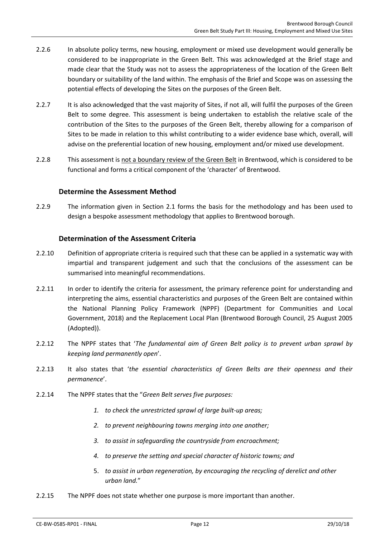- 2.2.6 In absolute policy terms, new housing, employment or mixed use development would generally be considered to be inappropriate in the Green Belt. This was acknowledged at the Brief stage and made clear that the Study was not to assess the appropriateness of the location of the Green Belt boundary or suitability of the land within. The emphasis of the Brief and Scope was on assessing the potential effects of developing the Sites on the purposes of the Green Belt.
- 2.2.7 It is also acknowledged that the vast majority of Sites, if not all, will fulfil the purposes of the Green Belt to some degree. This assessment is being undertaken to establish the relative scale of the contribution of the Sites to the purposes of the Green Belt, thereby allowing for a comparison of Sites to be made in relation to this whilst contributing to a wider evidence base which, overall, will advise on the preferential location of new housing, employment and/or mixed use development.
- 2.2.8 This assessment is not a boundary review of the Green Belt in Brentwood, which is considered to be functional and forms a critical component of the 'character' of Brentwood.

### **Determine the Assessment Method**

2.2.9 The information given in Section [2.1](#page-10-1) forms the basis for the methodology and has been used to design a bespoke assessment methodology that applies to Brentwood borough.

### **Determination of the Assessment Criteria**

- 2.2.10 Definition of appropriate criteria is required such that these can be applied in a systematic way with impartial and transparent judgement and such that the conclusions of the assessment can be summarised into meaningful recommendations.
- 2.2.11 In order to identify the criteria for assessment, the primary reference point for understanding and interpreting the aims, essential characteristics and purposes of the Green Belt are contained within the National Planning Policy Framework (NPPF) (Department for Communities and Local Government, 2018) and the Replacement Local Plan (Brentwood Borough Council, 25 August 2005 (Adopted)).
- 2.2.12 The NPPF states that '*The fundamental aim of Green Belt policy is to prevent urban sprawl by keeping land permanently open*'.
- 2.2.13 It also states that '*the essential characteristics of Green Belts are their openness and their permanence*'.
- 2.2.14 The NPPF states that the "*Green Belt serves five purposes:*
	- *1. to check the unrestricted sprawl of large built-up areas;*
	- *2. to prevent neighbouring towns merging into one another;*
	- *3. to assist in safeguarding the countryside from encroachment;*
	- *4. to preserve the setting and special character of historic towns; and*
	- 5. *to assist in urban regeneration, by encouraging the recycling of derelict and other urban land.*"
- 2.2.15 The NPPF does not state whether one purpose is more important than another.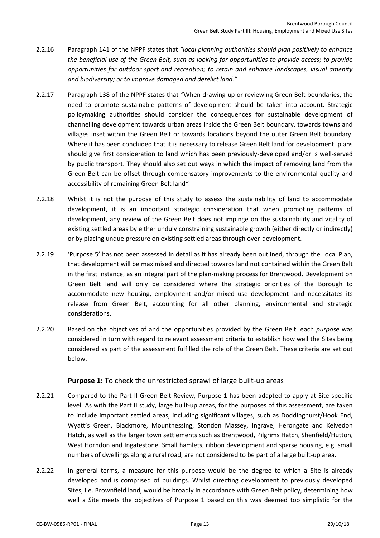- 2.2.16 Paragraph 141 of the NPPF states that *"local planning authorities should plan positively to enhance the beneficial use of the Green Belt, such as looking for opportunities to provide access; to provide opportunities for outdoor sport and recreation; to retain and enhance landscapes, visual amenity and biodiversity; or to improve damaged and derelict land."*
- 2.2.17 Paragraph 138 of the NPPF states that *"*When drawing up or reviewing Green Belt boundaries, the need to promote sustainable patterns of development should be taken into account. Strategic policymaking authorities should consider the consequences for sustainable development of channelling development towards urban areas inside the Green Belt boundary, towards towns and villages inset within the Green Belt or towards locations beyond the outer Green Belt boundary. Where it has been concluded that it is necessary to release Green Belt land for development, plans should give first consideration to land which has been previously-developed and/or is well-served by public transport. They should also set out ways in which the impact of removing land from the Green Belt can be offset through compensatory improvements to the environmental quality and accessibility of remaining Green Belt land*".*
- 2.2.18 Whilst it is not the purpose of this study to assess the sustainability of land to accommodate development, it is an important strategic consideration that when promoting patterns of development, any review of the Green Belt does not impinge on the sustainability and vitality of existing settled areas by either unduly constraining sustainable growth (either directly or indirectly) or by placing undue pressure on existing settled areas through over-development.
- <span id="page-13-1"></span>2.2.19 'Purpose 5' has not been assessed in detail as it has already been outlined, through the Local Plan, that development will be maximised and directed towards land not contained within the Green Belt in the first instance, as an integral part of the plan-making process for Brentwood. Development on Green Belt land will only be considered where the strategic priorities of the Borough to accommodate new housing, employment and/or mixed use development land necessitates its release from Green Belt, accounting for all other planning, environmental and strategic considerations.
- 2.2.20 Based on the objectives of and the opportunities provided by the Green Belt, each *purpose* was considered in turn with regard to relevant assessment criteria to establish how well the Sites being considered as part of the assessment fulfilled the role of the Green Belt. These criteria are set out below.

# <span id="page-13-2"></span>**Purpose 1:** To check the unrestricted sprawl of large built-up areas

- <span id="page-13-0"></span>2.2.21 Compared to the Part II Green Belt Review, Purpose 1 has been adapted to apply at Site specific level. As with the Part II study, large built-up areas, for the purposes of this assessment, are taken to include important settled areas, including significant villages, such as Doddinghurst/Hook End, Wyatt's Green, Blackmore, Mountnessing, Stondon Massey, Ingrave, Herongate and Kelvedon Hatch, as well as the larger town settlements such as Brentwood, Pilgrims Hatch, Shenfield/Hutton, West Horndon and Ingatestone. Small hamlets, ribbon development and sparse housing, e.g. small numbers of dwellings along a rural road, are not considered to be part of a large built-up area.
- 2.2.22 In general terms, a measure for this purpose would be the degree to which a Site is already developed and is comprised of buildings. Whilst directing development to previously developed Sites, i.e. Brownfield land, would be broadly in accordance with Green Belt policy, determining how well a Site meets the objectives of Purpose 1 based on this was deemed too simplistic for the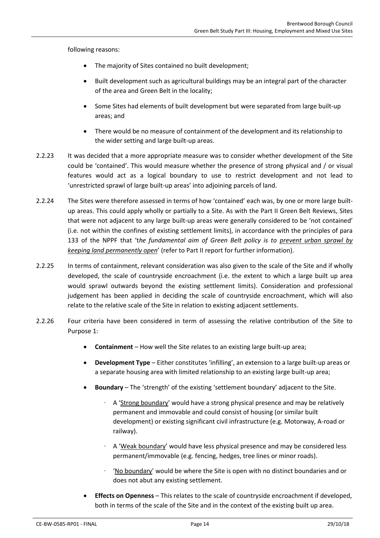following reasons:

- The majority of Sites contained no built development;
- Built development such as agricultural buildings may be an integral part of the character of the area and Green Belt in the locality;
- Some Sites had elements of built development but were separated from large built-up areas; and
- There would be no measure of containment of the development and its relationship to the wider setting and large built-up areas.
- 2.2.23 It was decided that a more appropriate measure was to consider whether development of the Site could be 'contained'. This would measure whether the presence of strong physical and / or visual features would act as a logical boundary to use to restrict development and not lead to 'unrestricted sprawl of large built-up areas' into adjoining parcels of land.
- 2.2.24 The Sites were therefore assessed in terms of how 'contained' each was, by one or more large builtup areas. This could apply wholly or partially to a Site. As with the Part II Green Belt Reviews, Sites that were not adjacent to any large built-up areas were generally considered to be 'not contained' (i.e. not within the confines of existing settlement limits), in accordance with the principles of para 133 of the NPPF that 't*he fundamental aim of Green Belt policy is to prevent urban sprawl by keeping land permanently open*' (refer to Part II report for further information).
- 2.2.25 In terms of containment, relevant consideration was also given to the scale of the Site and if wholly developed, the scale of countryside encroachment (i.e. the extent to which a large built up area would sprawl outwards beyond the existing settlement limits). Consideration and professional judgement has been applied in deciding the scale of countryside encroachment, which will also relate to the relative scale of the Site in relation to existing adjacent settlements.
- 2.2.26 Four criteria have been considered in term of assessing the relative contribution of the Site to Purpose 1:
	- **Containment** How well the Site relates to an existing large built-up area;
	- **Development Type** Either constitutes 'infilling', an extension to a large built-up areas or a separate housing area with limited relationship to an existing large built-up area;
	- **Boundary** The 'strength' of the existing 'settlement boundary' adjacent to the Site.
		- ∙ A 'Strong boundary' would have a strong physical presence and may be relatively permanent and immovable and could consist of housing (or similar built development) or existing significant civil infrastructure (e.g. Motorway, A-road or railway).
		- ∙ A 'Weak boundary' would have less physical presence and may be considered less permanent/immovable (e.g. fencing, hedges, tree lines or minor roads).
		- ∙ 'No boundary' would be where the Site is open with no distinct boundaries and or does not abut any existing settlement.
	- **Effects on Openness** This relates to the scale of countryside encroachment if developed, both in terms of the scale of the Site and in the context of the existing built up area.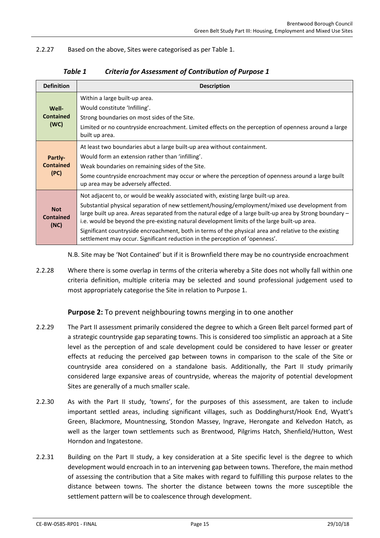<span id="page-15-0"></span>2.2.27 Based on the above, Sites were categorised as pe[r Table 1.](#page-15-0)

| <b>Definition</b>                      | <b>Description</b>                                                                                                                                                                                                                                                                                                                                                                                                                                                                                                                                                                         |
|----------------------------------------|--------------------------------------------------------------------------------------------------------------------------------------------------------------------------------------------------------------------------------------------------------------------------------------------------------------------------------------------------------------------------------------------------------------------------------------------------------------------------------------------------------------------------------------------------------------------------------------------|
| Well-<br><b>Contained</b><br>(WC)      | Within a large built-up area.<br>Would constitute 'Infilling'.<br>Strong boundaries on most sides of the Site.<br>Limited or no countryside encroachment. Limited effects on the perception of openness around a large<br>built up area.                                                                                                                                                                                                                                                                                                                                                   |
| Partly-<br><b>Contained</b><br>(PC)    | At least two boundaries abut a large built-up area without containment.<br>Would form an extension rather than 'infilling'.<br>Weak boundaries on remaining sides of the Site.<br>Some countryside encroachment may occur or where the perception of openness around a large built<br>up area may be adversely affected.                                                                                                                                                                                                                                                                   |
| <b>Not</b><br><b>Contained</b><br>(NC) | Not adjacent to, or would be weakly associated with, existing large built-up area.<br>Substantial physical separation of new settlement/housing/employment/mixed use development from<br>large built up area. Areas separated from the natural edge of a large built-up area by Strong boundary –<br>i.e. would be beyond the pre-existing natural development limits of the large built-up area.<br>Significant countryside encroachment, both in terms of the physical area and relative to the existing<br>settlement may occur. Significant reduction in the perception of 'openness'. |

| Table 1 | <b>Criteria for Assessment of Contribution of Purpose 1</b> |
|---------|-------------------------------------------------------------|
|---------|-------------------------------------------------------------|

N.B. Site may be 'Not Contained' but if it is Brownfield there may be no countryside encroachment

2.2.28 Where there is some overlap in terms of the criteria whereby a Site does not wholly fall within one criteria definition, multiple criteria may be selected and sound professional judgement used to most appropriately categorise the Site in relation to Purpose 1.

**Purpose 2:** To prevent neighbouring towns merging in to one another

- 2.2.29 The Part II assessment primarily considered the degree to which a Green Belt parcel formed part of a strategic countryside gap separating towns. This is considered too simplistic an approach at a Site level as the perception of and scale development could be considered to have lesser or greater effects at reducing the perceived gap between towns in comparison to the scale of the Site or countryside area considered on a standalone basis. Additionally, the Part II study primarily considered large expansive areas of countryside, whereas the majority of potential development Sites are generally of a much smaller scale.
- <span id="page-15-1"></span>2.2.30 As with the Part II study, 'towns', for the purposes of this assessment, are taken to include important settled areas, including significant villages, such as Doddinghurst/Hook End, Wyatt's Green, Blackmore, Mountnessing, Stondon Massey, Ingrave, Herongate and Kelvedon Hatch, as well as the larger town settlements such as Brentwood, Pilgrims Hatch, Shenfield/Hutton, West Horndon and Ingatestone.
- 2.2.31 Building on the Part II study, a key consideration at a Site specific level is the degree to which development would encroach in to an intervening gap between towns. Therefore, the main method of assessing the contribution that a Site makes with regard to fulfilling this purpose relates to the distance between towns. The shorter the distance between towns the more susceptible the settlement pattern will be to coalescence through development.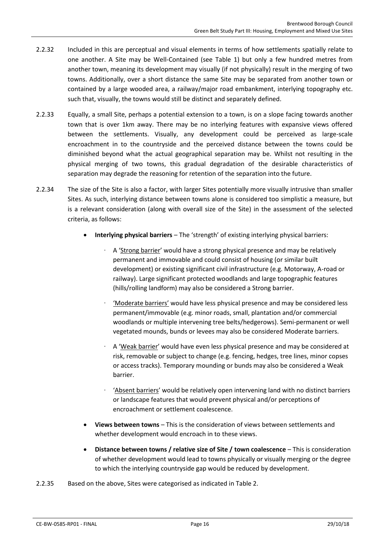- 2.2.32 Included in this are perceptual and visual elements in terms of how settlements spatially relate to one another. A Site may be Well-Contained (see [Table 1\)](#page-15-0) but only a few hundred metres from another town, meaning its development may visually (if not physically) result in the merging of two towns. Additionally, over a short distance the same Site may be separated from another town or contained by a large wooded area, a railway/major road embankment, interlying topography etc. such that, visually, the towns would still be distinct and separately defined.
- 2.2.33 Equally, a small Site, perhaps a potential extension to a town, is on a slope facing towards another town that is over 1km away. There may be no interlying features with expansive views offered between the settlements. Visually, any development could be perceived as large-scale encroachment in to the countryside and the perceived distance between the towns could be diminished beyond what the actual geographical separation may be. Whilst not resulting in the physical merging of two towns, this gradual degradation of the desirable characteristics of separation may degrade the reasoning for retention of the separation into the future.
- 2.2.34 The size of the Site is also a factor, with larger Sites potentially more visually intrusive than smaller Sites. As such, interlying distance between towns alone is considered too simplistic a measure, but is a relevant consideration (along with overall size of the Site) in the assessment of the selected criteria, as follows:
	- **Interlying physical barriers** The 'strength' of existing interlying physical barriers:
		- ∙ A 'Strong barrier' would have a strong physical presence and may be relatively permanent and immovable and could consist of housing (or similar built development) or existing significant civil infrastructure (e.g. Motorway, A-road or railway). Large significant protected woodlands and large topographic features (hills/rolling landform) may also be considered a Strong barrier.
		- ∙ 'Moderate barriers' would have less physical presence and may be considered less permanent/immovable (e.g. minor roads, small, plantation and/or commercial woodlands or multiple intervening tree belts/hedgerows). Semi-permanent or well vegetated mounds, bunds or levees may also be considered Moderate barriers.
		- ∙ A 'Weak barrier' would have even less physical presence and may be considered at risk, removable or subject to change (e.g. fencing, hedges, tree lines, minor copses or access tracks). Temporary mounding or bunds may also be considered a Weak barrier.
		- ∙ 'Absent barriers' would be relatively open intervening land with no distinct barriers or landscape features that would prevent physical and/or perceptions of encroachment or settlement coalescence.
	- **Views between towns** This is the consideration of views between settlements and whether development would encroach in to these views.
	- **•** Distance between towns / relative size of Site / town coalescence This is consideration of whether development would lead to towns physically or visually merging or the degree to which the interlying countryside gap would be reduced by development.
- 2.2.35 Based on the above, Sites were categorised as indicated i[n Table 2.](#page-17-0)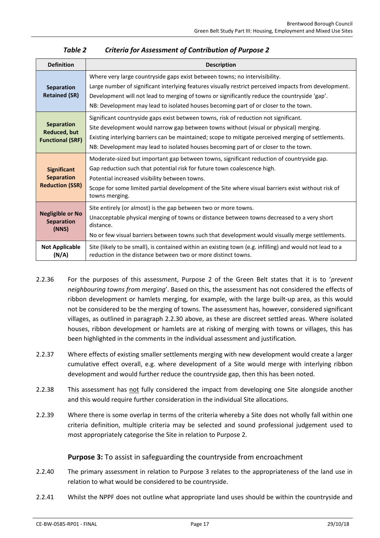<span id="page-17-0"></span>

| <b>Definition</b>                                                   | <b>Description</b>                                                                                                                                                                                                                                                                                                                                                          |
|---------------------------------------------------------------------|-----------------------------------------------------------------------------------------------------------------------------------------------------------------------------------------------------------------------------------------------------------------------------------------------------------------------------------------------------------------------------|
| Separation<br><b>Retained (SR)</b>                                  | Where very large countryside gaps exist between towns; no intervisibility.<br>Large number of significant interlying features visually restrict perceived impacts from development.<br>Development will not lead to merging of towns or significantly reduce the countryside 'gap'.<br>NB: Development may lead to isolated houses becoming part of or closer to the town.  |
| <b>Separation</b><br><b>Reduced, but</b><br><b>Functional (SRF)</b> | Significant countryside gaps exist between towns, risk of reduction not significant.<br>Site development would narrow gap between towns without (visual or physical) merging.<br>Existing interlying barriers can be maintained; scope to mitigate perceived merging of settlements.<br>NB: Development may lead to isolated houses becoming part of or closer to the town. |
| <b>Significant</b><br><b>Separation</b><br><b>Reduction (SSR)</b>   | Moderate-sized but important gap between towns, significant reduction of countryside gap.<br>Gap reduction such that potential risk for future town coalescence high.<br>Potential increased visibility between towns.<br>Scope for some limited partial development of the Site where visual barriers exist without risk of<br>towns merging.                              |
| <b>Negligible or No</b><br><b>Separation</b><br>(NNS)               | Site entirely (or almost) is the gap between two or more towns.<br>Unacceptable physical merging of towns or distance between towns decreased to a very short<br>distance.<br>No or few visual barriers between towns such that development would visually merge settlements.                                                                                               |
| <b>Not Applicable</b><br>(N/A)                                      | Site (likely to be small), is contained within an existing town (e.g. infilling) and would not lead to a<br>reduction in the distance between two or more distinct towns.                                                                                                                                                                                                   |

# *Table 2 Criteria for Assessment of Contribution of Purpose 2*

- 2.2.36 For the purposes of this assessment, Purpose 2 of the Green Belt states that it is to '*prevent neighbouring towns from merging*'. Based on this, the assessment has not considered the effects of ribbon development or hamlets merging, for example, with the large built-up area, as this would not be considered to be the merging of towns. The assessment has, however, considered significant villages, as outlined in paragraph [2.2.30](#page-15-1) above, as these are discreet settled areas. Where isolated houses, ribbon development or hamlets are at risking of merging with towns or villages, this has been highlighted in the comments in the individual assessment and justification.
- 2.2.37 Where effects of existing smaller settlements merging with new development would create a larger cumulative effect overall, e.g. where development of a Site would merge with interlying ribbon development and would further reduce the countryside gap, then this has been noted.
- 2.2.38 This assessment has not fully considered the impact from developing one Site alongside another and this would require further consideration in the individual Site allocations.
- 2.2.39 Where there is some overlap in terms of the criteria whereby a Site does not wholly fall within one criteria definition, multiple criteria may be selected and sound professional judgement used to most appropriately categorise the Site in relation to Purpose 2.

# **Purpose 3:** To assist in safeguarding the countryside from encroachment

- 2.2.40 The primary assessment in relation to Purpose 3 relates to the appropriateness of the land use in relation to what would be considered to be countryside.
- 2.2.41 Whilst the NPPF does not outline what appropriate land uses should be within the countryside and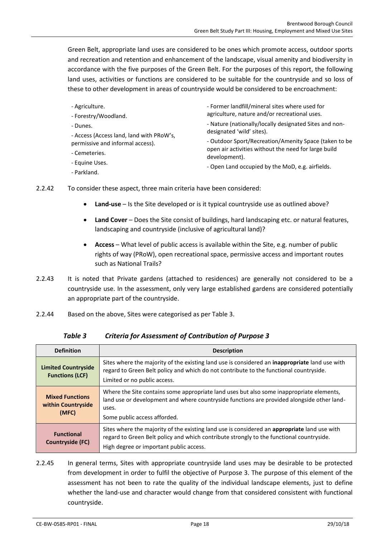Green Belt, appropriate land uses are considered to be ones which promote access, outdoor sports and recreation and retention and enhancement of the landscape, visual amenity and biodiversity in accordance with the five purposes of the Green Belt. For the purposes of this report, the following land uses, activities or functions are considered to be suitable for the countryside and so loss of these to other development in areas of countryside would be considered to be encroachment:

- Agriculture.
- Forestry/Woodland.
- Dunes.

- Access (Access land, land with PRoW's, permissive and informal access).

- Cemeteries.
- Equine Uses.
- Parkland.

- Former landfill/mineral sites where used for agriculture, nature and/or recreational uses.

- Nature (nationally/locally designated Sites and nondesignated 'wild' sites).

- Outdoor Sport/Recreation/Amenity Space (taken to be open air activities without the need for large build development).

- Open Land occupied by the MoD, e.g. airfields.
- 2.2.42 To consider these aspect, three main criteria have been considered:
	- **Land-use** Is the Site developed or is it typical countryside use as outlined above?
	- **Land Cover** Does the Site consist of buildings, hard landscaping etc. or natural features, landscaping and countryside (inclusive of agricultural land)?
	- **Access** What level of public access is available within the Site, e.g. number of public rights of way (PRoW), open recreational space, permissive access and important routes such as National Trails?
- 2.2.43 It is noted that Private gardens (attached to residences) are generally not considered to be a countryside use. In the assessment, only very large established gardens are considered potentially an appropriate part of the countryside.
- <span id="page-18-0"></span>2.2.44 Based on the above, Sites were categorised as pe[r Table 3.](#page-18-0)

| <b>Definition</b>                                     | <b>Description</b>                                                                                                                                                                                                                  |
|-------------------------------------------------------|-------------------------------------------------------------------------------------------------------------------------------------------------------------------------------------------------------------------------------------|
| <b>Limited Countryside</b><br><b>Functions (LCF)</b>  | Sites where the majority of the existing land use is considered an <b>inappropriate</b> land use with<br>regard to Green Belt policy and which do not contribute to the functional countryside.<br>Limited or no public access.     |
| <b>Mixed Functions</b><br>within Countryside<br>(MFC) | Where the Site contains some appropriate land uses but also some inappropriate elements,<br>land use or development and where countryside functions are provided alongside other land-<br>uses.<br>Some public access afforded.     |
| <b>Functional</b><br>Countryside (FC)                 | Sites where the majority of the existing land use is considered an appropriate land use with<br>regard to Green Belt policy and which contribute strongly to the functional countryside.<br>High degree or important public access. |

*Table 3 Criteria for Assessment of Contribution of Purpose 3*

2.2.45 In general terms, Sites with appropriate countryside land uses may be desirable to be protected from development in order to fulfil the objective of Purpose 3. The purpose of this element of the assessment has not been to rate the quality of the individual landscape elements, just to define whether the land-use and character would change from that considered consistent with functional countryside.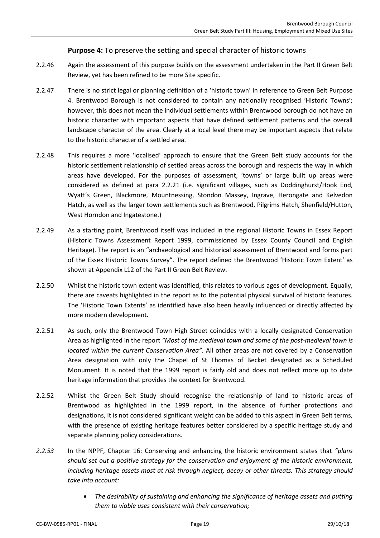# **Purpose 4:** To preserve the setting and special character of historic towns

- 2.2.46 Again the assessment of this purpose builds on the assessment undertaken in the Part II Green Belt Review, yet has been refined to be more Site specific.
- 2.2.47 There is no strict legal or planning definition of a 'historic town' in reference to Green Belt Purpose 4. Brentwood Borough is not considered to contain any nationally recognised 'Historic Towns'; however, this does not mean the individual settlements within Brentwood borough do not have an historic character with important aspects that have defined settlement patterns and the overall landscape character of the area. Clearly at a local level there may be important aspects that relate to the historic character of a settled area.
- 2.2.48 This requires a more 'localised' approach to ensure that the Green Belt study accounts for the historic settlement relationship of settled areas across the borough and respects the way in which areas have developed. For the purposes of assessment, 'towns' or large built up areas were considered as defined at para [2.2.21](#page-13-0) (i.e. significant villages, such as Doddinghurst/Hook End, Wyatt's Green, Blackmore, Mountnessing, Stondon Massey, Ingrave, Herongate and Kelvedon Hatch, as well as the larger town settlements such as Brentwood, Pilgrims Hatch, Shenfield/Hutton, West Horndon and Ingatestone.)
- 2.2.49 As a starting point, Brentwood itself was included in the regional Historic Towns in Essex Report (Historic Towns Assessment Report 1999, commissioned by Essex County Council and English Heritage). The report is an "archaeological and historical assessment of Brentwood and forms part of the Essex Historic Towns Survey". The report defined the Brentwood 'Historic Town Extent' as shown at Appendix L12 of the Part II Green Belt Review.
- 2.2.50 Whilst the historic town extent was identified, this relates to various ages of development. Equally, there are caveats highlighted in the report as to the potential physical survival of historic features. The 'Historic Town Extents' as identified have also been heavily influenced or directly affected by more modern development.
- 2.2.51 As such, only the Brentwood Town High Street coincides with a locally designated Conservation Area as highlighted in the report *"Most of the medieval town and some of the post-medieval town is located within the current Conservation Area".* All other areas are not covered by a Conservation Area designation with only the Chapel of St Thomas of Becket designated as a Scheduled Monument. It is noted that the 1999 report is fairly old and does not reflect more up to date heritage information that provides the context for Brentwood.
- 2.2.52 Whilst the Green Belt Study should recognise the relationship of land to historic areas of Brentwood as highlighted in the 1999 report, in the absence of further protections and designations, it is not considered significant weight can be added to this aspect in Green Belt terms, with the presence of existing heritage features better considered by a specific heritage study and separate planning policy considerations.
- *2.2.53* In the NPPF, Chapter 16: Conserving and enhancing the historic environment states that *"plans should set out a positive strategy for the conservation and enjoyment of the historic environment, including heritage assets most at risk through neglect, decay or other threats. This strategy should take into account:*
	- *The desirability of sustaining and enhancing the significance of heritage assets and putting them to viable uses consistent with their conservation;*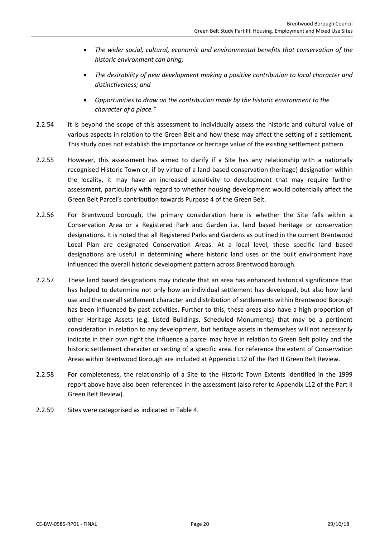- *The wider social, cultural, economic and environmental benefits that conservation of the historic environment can bring;*
- *The desirability of new development making a positive contribution to local character and distinctiveness; and*
- *Opportunities to draw on the contribution made by the historic environment to the character of a place."*
- 2.2.54 It is beyond the scope of this assessment to individually assess the historic and cultural value of various aspects in relation to the Green Belt and how these may affect the setting of a settlement. This study does not establish the importance or heritage value of the existing settlement pattern.
- 2.2.55 However, this assessment has aimed to clarify if a Site has any relationship with a nationally recognised Historic Town or, if by virtue of a land-based conservation (heritage) designation within the locality, it may have an increased sensitivity to development that may require further assessment, particularly with regard to whether housing development would potentially affect the Green Belt Parcel's contribution towards Purpose 4 of the Green Belt.
- 2.2.56 For Brentwood borough, the primary consideration here is whether the Site falls within a Conservation Area or a Registered Park and Garden i.e. land based heritage or conservation designations. It is noted that all Registered Parks and Gardens as outlined in the current Brentwood Local Plan are designated Conservation Areas. At a local level, these specific land based designations are useful in determining where historic land uses or the built environment have influenced the overall historic development pattern across Brentwood borough.
- 2.2.57 These land based designations may indicate that an area has enhanced historical significance that has helped to determine not only how an individual settlement has developed, but also how land use and the overall settlement character and distribution of settlements within Brentwood Borough has been influenced by past activities. Further to this, these areas also have a high proportion of other Heritage Assets (e.g. Listed Buildings, Scheduled Monuments) that may be a pertinent consideration in relation to any development, but heritage assets in themselves will not necessarily indicate in their own right the influence a parcel may have in relation to Green Belt policy and the historic settlement character or setting of a specific area. For reference the extent of Conservation Areas within Brentwood Borough are included at Appendix L12 of the Part II Green Belt Review.
- 2.2.58 For completeness, the relationship of a Site to the Historic Town Extents identified in the 1999 report above have also been referenced in the assessment (also refer to Appendix L12 of the Part II Green Belt Review).
- 2.2.59 Sites were categorised as indicated in [Table 4.](#page-21-0)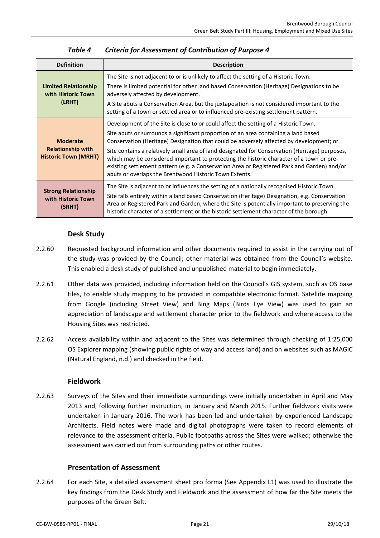<span id="page-21-0"></span>

| <b>Definition</b>                                                          | <b>Description</b>                                                                                                                                                                                                                                                                                                                                                                                                                                                                                                                                                                                                           |  |
|----------------------------------------------------------------------------|------------------------------------------------------------------------------------------------------------------------------------------------------------------------------------------------------------------------------------------------------------------------------------------------------------------------------------------------------------------------------------------------------------------------------------------------------------------------------------------------------------------------------------------------------------------------------------------------------------------------------|--|
| <b>Limited Relationship</b><br>with Historic Town<br>(LRHT)                | The Site is not adjacent to or is unlikely to affect the setting of a Historic Town.<br>There is limited potential for other land based Conservation (Heritage) Designations to be<br>adversely affected by development.<br>A Site abuts a Conservation Area, but the juxtaposition is not considered important to the<br>setting of a town or settled area or to influenced pre-existing settlement pattern.                                                                                                                                                                                                                |  |
| <b>Moderate</b><br><b>Relationship with</b><br><b>Historic Town (MRHT)</b> | Development of the Site is close to or could affect the setting of a Historic Town.<br>Site abuts or surrounds a significant proportion of an area containing a land based<br>Conservation (Heritage) Designation that could be adversely affected by development; or<br>Site contains a relatively small area of land designated for Conservation (Heritage) purposes,<br>which may be considered important to protecting the historic character of a town or pre-<br>existing settlement pattern (e.g. a Conservation Area or Registered Park and Garden) and/or<br>abuts or overlaps the Brentwood Historic Town Extents. |  |
| <b>Strong Relationship</b><br>with Historic Town<br>(SRHT)                 | The Site is adjacent to or influences the setting of a nationally recognised Historic Town.<br>Site falls entirely within a land based Conservation (Heritage) Designation, e.g. Conservation<br>Area or Registered Park and Garden, where the Site is potentially important to preserving the<br>historic character of a settlement or the historic settlement character of the borough.                                                                                                                                                                                                                                    |  |

| Table 4 | <b>Criteria for Assessment of Contribution of Purpose 4</b> |
|---------|-------------------------------------------------------------|
|---------|-------------------------------------------------------------|

### **Desk Study**

- 2.2.60 Requested background information and other documents required to assist in the carrying out of the study was provided by the Council; other material was obtained from the Council's website. This enabled a desk study of published and unpublished material to begin immediately.
- 2.2.61 Other data was provided, including information held on the Council's GIS system, such as OS base tiles, to enable study mapping to be provided in compatible electronic format. Satellite mapping from Google (including Street View) and Bing Maps (Birds Eye View) was used to gain an appreciation of landscape and settlement character prior to the fieldwork and where access to the Housing Sites was restricted.
- 2.2.62 Access availability within and adjacent to the Sites was determined through checking of 1:25,000 OS Explorer mapping (showing public rights of way and access land) and on websites such as MAGIC (Natural England, n.d.) and checked in the field.

### **Fieldwork**

2.2.63 Surveys of the Sites and their immediate surroundings were initially undertaken in April and May 2013 and, following further instruction, in January and March 2015. Further fieldwork visits were undertaken in January 2016. The work has been led and undertaken by experienced Landscape Architects. Field notes were made and digital photographs were taken to record elements of relevance to the assessment criteria. Public footpaths across the Sites were walked; otherwise the assessment was carried out from surrounding paths or other routes.

# **Presentation of Assessment**

2.2.64 For each Site, a detailed assessment sheet pro forma (See Appendix L1) was used to illustrate the key findings from the Desk Study and Fieldwork and the assessment of how far the Site meets the purposes of the Green Belt.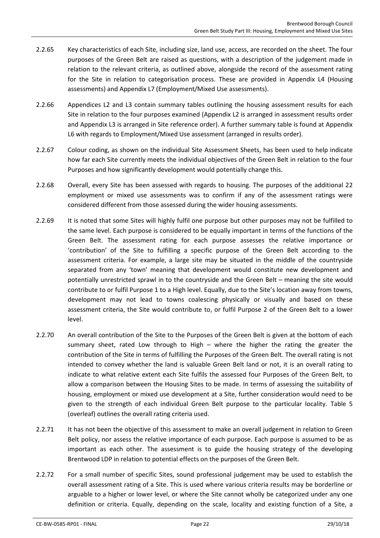- 2.2.65 Key characteristics of each Site, including size, land use, access, are recorded on the sheet. The four purposes of the Green Belt are raised as questions, with a description of the judgement made in relation to the relevant criteria, as outlined above, alongside the record of the assessment rating for the Site in relation to categorisation process. These are provided in Appendix L4 (Housing assessments) and Appendix L7 (Employment/Mixed Use assessments).
- 2.2.66 Appendices L2 and L3 contain summary tables outlining the housing assessment results for each Site in relation to the four purposes examined (Appendix L2 is arranged in assessment results order and Appendix L3 is arranged in Site reference order). A further summary table is found at Appendix L6 with regards to Employment/Mixed Use assessment (arranged in results order).
- 2.2.67 Colour coding, as shown on the individual Site Assessment Sheets, has been used to help indicate how far each Site currently meets the individual objectives of the Green Belt in relation to the four Purposes and how significantly development would potentially change this.
- 2.2.68 Overall, every Site has been assessed with regards to housing. The purposes of the additional 22 employment or mixed use assessments was to confirm if any of the assessment ratings were considered different from those assessed during the wider housing assessments.
- 2.2.69 It is noted that some Sites will highly fulfil one purpose but other purposes may not be fulfilled to the same level. Each purpose is considered to be equally important in terms of the functions of the Green Belt. The assessment rating for each purpose assesses the relative importance or 'contribution' of the Site to fulfilling a specific purpose of the Green Belt according to the assessment criteria. For example, a large site may be situated in the middle of the countryside separated from any 'town' meaning that development would constitute new development and potentially unrestricted sprawl in to the countryside and the Green Belt – meaning the site would contribute to or fulfil Purpose 1 to a High level. Equally, due to the Site's location away from towns, development may not lead to towns coalescing physically or visually and based on these assessment criteria, the Site would contribute to, or fulfil Purpose 2 of the Green Belt to a lower level.
- 2.2.70 An overall contribution of the Site to the Purposes of the Green Belt is given at the bottom of each summary sheet, rated Low through to High – where the higher the rating the greater the contribution of the Site in terms of fulfilling the Purposes of the Green Belt. The overall rating is not intended to convey whether the land is valuable Green Belt land or not, it is an overall rating to indicate to what relative extent each Site fulfils the assessed four Purposes of the Green Belt, to allow a comparison between the Housing Sites to be made. In terms of assessing the suitability of housing, employment or mixed use development at a Site, further consideration would need to be given to the strength of each individual Green Belt purpose to the particular locality. [Table 5](#page-23-0) (overleaf) outlines the overall rating criteria used.
- 2.2.71 It has not been the objective of this assessment to make an overall judgement in relation to Green Belt policy, nor assess the relative importance of each purpose. Each purpose is assumed to be as important as each other. The assessment is to guide the housing strategy of the developing Brentwood LDP in relation to potential effects on the purposes of the Green Belt.
- 2.2.72 For a small number of specific Sites, sound professional judgement may be used to establish the overall assessment rating of a Site. This is used where various criteria results may be borderline or arguable to a higher or lower level, or where the Site cannot wholly be categorized under any one definition or criteria. Equally, depending on the scale, locality and existing function of a Site, a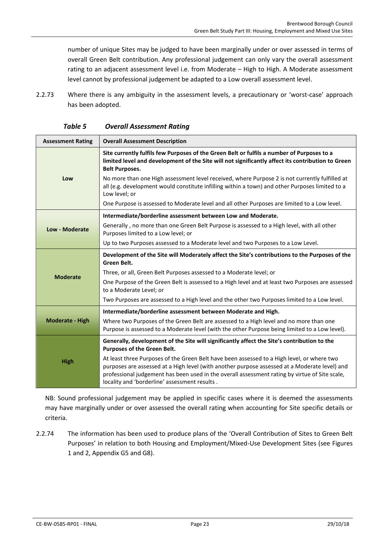number of unique Sites may be judged to have been marginally under or over assessed in terms of overall Green Belt contribution. Any professional judgement can only vary the overall assessment rating to an adjacent assessment level i.e. from Moderate – High to High. A Moderate assessment level cannot by professional judgement be adapted to a Low overall assessment level.

2.2.73 Where there is any ambiguity in the assessment levels, a precautionary or 'worst-case' approach has been adopted.

<span id="page-23-0"></span>

| <b>Assessment Rating</b> | <b>Overall Assessment Description</b>                                                                                                                                                                                                                                                                                                          |
|--------------------------|------------------------------------------------------------------------------------------------------------------------------------------------------------------------------------------------------------------------------------------------------------------------------------------------------------------------------------------------|
|                          | Site currently fulfils few Purposes of the Green Belt or fulfils a number of Purposes to a<br>limited level and development of the Site will not significantly affect its contribution to Green<br><b>Belt Purposes.</b>                                                                                                                       |
| Low                      | No more than one High assessment level received, where Purpose 2 is not currently fulfilled at<br>all (e.g. development would constitute infilling within a town) and other Purposes limited to a<br>Low level; or                                                                                                                             |
|                          | One Purpose is assessed to Moderate level and all other Purposes are limited to a Low level.                                                                                                                                                                                                                                                   |
|                          | Intermediate/borderline assessment between Low and Moderate.                                                                                                                                                                                                                                                                                   |
| Low - Moderate           | Generally, no more than one Green Belt Purpose is assessed to a High level, with all other<br>Purposes limited to a Low level; or                                                                                                                                                                                                              |
|                          | Up to two Purposes assessed to a Moderate level and two Purposes to a Low Level.                                                                                                                                                                                                                                                               |
|                          | Development of the Site will Moderately affect the Site's contributions to the Purposes of the<br>Green Belt.                                                                                                                                                                                                                                  |
| <b>Moderate</b>          | Three, or all, Green Belt Purposes assessed to a Moderate level; or                                                                                                                                                                                                                                                                            |
|                          | One Purpose of the Green Belt is assessed to a High level and at least two Purposes are assessed<br>to a Moderate Level; or                                                                                                                                                                                                                    |
|                          | Two Purposes are assessed to a High level and the other two Purposes limited to a Low level.                                                                                                                                                                                                                                                   |
|                          | Intermediate/borderline assessment between Moderate and High.                                                                                                                                                                                                                                                                                  |
| <b>Moderate - High</b>   | Where two Purposes of the Green Belt are assessed to a High level and no more than one<br>Purpose is assessed to a Moderate level (with the other Purpose being limited to a Low level).                                                                                                                                                       |
| <b>High</b>              | Generally, development of the Site will significantly affect the Site's contribution to the<br>Purposes of the Green Belt.                                                                                                                                                                                                                     |
|                          | At least three Purposes of the Green Belt have been assessed to a High level, or where two<br>purposes are assessed at a High level (with another purpose assessed at a Moderate level) and<br>professional judgement has been used in the overall assessment rating by virtue of Site scale,<br>locality and 'borderline' assessment results. |

NB: Sound professional judgement may be applied in specific cases where it is deemed the assessments may have marginally under or over assessed the overall rating when accounting for Site specific details or criteria.

2.2.74 The information has been used to produce plans of the 'Overall Contribution of Sites to Green Belt Purposes' in relation to both Housing and Employment/Mixed-Use Development Sites (see Figures 1 and 2, Appendix G5 and G8).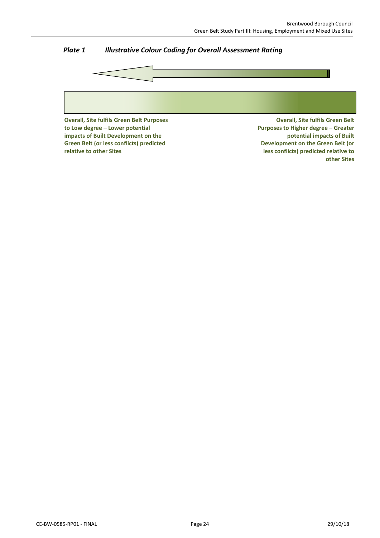

# *Plate 1 Illustrative Colour Coding for Overall Assessment Rating*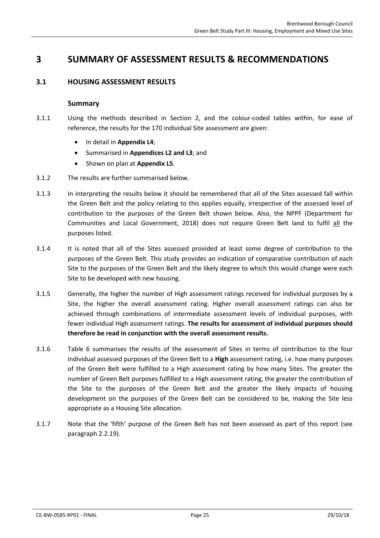# <span id="page-25-1"></span><span id="page-25-0"></span>**3 SUMMARY OF ASSESSMENT RESULTS & RECOMMENDATIONS**

### **3.1 HOUSING ASSESSMENT RESULTS**

#### **Summary**

- 3.1.1 Using the methods described in Section [2,](#page-10-0) and the colour-coded tables within, for ease of reference, the results for the 170 individual Site assessment are given:
	- In detail in **Appendix L4**;
	- Summarised in **Appendices L2 and L3**; and
	- Shown on plan at **Appendix L5**.
- 3.1.2 The results are further summarised below.
- 3.1.3 In interpreting the results below it should be remembered that all of the Sites assessed fall within the Green Belt and the policy relating to this applies equally, irrespective of the assessed level of contribution to the purposes of the Green Belt shown below. Also, the NPPF (Department for Communities and Local Government, 2018) does not require Green Belt land to fulfil all the purposes listed.
- 3.1.4 It is noted that all of the Sites assessed provided at least some degree of contribution to the purposes of the Green Belt. This study provides an indication of comparative contribution of each Site to the purposes of the Green Belt and the likely degree to which this would change were each Site to be developed with new housing.
- 3.1.5 Generally, the higher the number of High assessment ratings received for individual purposes by a Site, the higher the overall assessment rating. Higher overall assessment ratings can also be achieved through combinations of intermediate assessment levels of individual purposes, with fewer individual High assessment ratings. **The results for assessment of individual purposes should therefore be read in conjunction with the overall assessment results.**
- 3.1.6 [Table 6](#page-26-0) summarises the results of the assessment of Sites in terms of contribution to the four individual assessed purposes of the Green Belt to a **High** assessment rating, i.e. how many purposes of the Green Belt were fulfilled to a High assessment rating by how many Sites. The greater the number of Green Belt purposes fulfilled to a High assessment rating, the greater the contribution of the Site to the purposes of the Green Belt and the greater the likely impacts of housing development on the purposes of the Green Belt can be considered to be, making the Site less appropriate as a Housing Site allocation.
- 3.1.7 Note that the 'fifth' purpose of the Green Belt has not been assessed as part of this report (see paragrap[h 2.2.19\)](#page-13-1).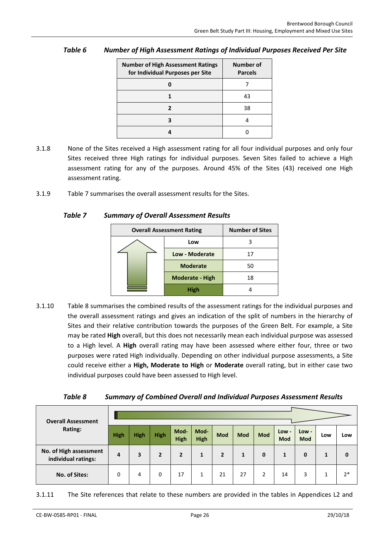| <b>Number of High Assessment Ratings</b><br>for Individual Purposes per Site | Number of<br><b>Parcels</b> |
|------------------------------------------------------------------------------|-----------------------------|
|                                                                              |                             |
|                                                                              | 43                          |
|                                                                              | 38                          |
|                                                                              |                             |
|                                                                              |                             |

# <span id="page-26-0"></span>*Table 6 Number of High Assessment Ratings of Individual Purposes Received Per Site*

- 3.1.8 None of the Sites received a High assessment rating for all four individual purposes and only four Sites received three High ratings for individual purposes. Seven Sites failed to achieve a High assessment rating for any of the purposes. Around 45% of the Sites (43) received one High assessment rating.
- <span id="page-26-1"></span>3.1.9 [Table 7](#page-26-1) summarises the overall assessment results for the Sites.

### *Table 7 Summary of Overall Assessment Results*

| <b>Overall Assessment Rating</b> | <b>Number of Sites</b> |    |  |  |  |
|----------------------------------|------------------------|----|--|--|--|
|                                  | Low                    |    |  |  |  |
|                                  | Low - Moderate         |    |  |  |  |
|                                  | <b>Moderate</b>        | 50 |  |  |  |
|                                  | <b>Moderate - High</b> | 18 |  |  |  |
|                                  | <b>High</b>            |    |  |  |  |

3.1.10 [Table 8](#page-26-2) summarises the combined results of the assessment ratings for the individual purposes and the overall assessment ratings and gives an indication of the split of numbers in the hierarchy of Sites and their relative contribution towards the purposes of the Green Belt. For example, a Site may be rated **High** overall, but this does not necessarily mean each individual purpose was assessed to a High level. A **High** overall rating may have been assessed where either four, three or two purposes were rated High individually. Depending on other individual purpose assessments, a Site could receive either a **High, Moderate to High** or **Moderate** overall rating, but in either case two individual purposes could have been assessed to High level.

| Table 8 |  | <b>Summary of Combined Overall and Individual Purposes Assessment Results</b> |
|---------|--|-------------------------------------------------------------------------------|
|---------|--|-------------------------------------------------------------------------------|

<span id="page-26-2"></span>

| <b>Overall Assessment</b>                     |      |      |              |                     |                     |     |     |            |              |              |     |      |
|-----------------------------------------------|------|------|--------------|---------------------|---------------------|-----|-----|------------|--------------|--------------|-----|------|
| Rating:                                       | High | High | High         | Mod-<br><b>High</b> | Mod-<br><b>High</b> | Mod | Mod | <b>Mod</b> | Low -<br>Mod | Low -<br>Mod | Low | Low  |
| No. of High assessment<br>individual ratings: | 4    | 3    | $\mathbf{2}$ | $\overline{2}$      | 1                   | 2   |     | 0          | 1            | 0            | 1   |      |
| No. of Sites:                                 | 0    | 4    | 0            | 17                  | 1                   | 21  | 27  |            | 14           | 3            |     | $2*$ |

3.1.11 The Site references that relate to these numbers are provided in the tables in Appendices L2 and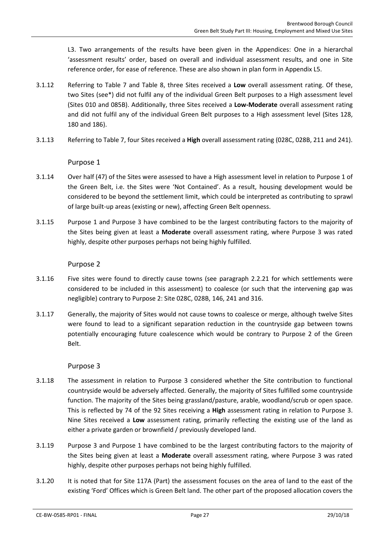L3. Two arrangements of the results have been given in the Appendices: One in a hierarchal 'assessment results' order, based on overall and individual assessment results, and one in Site reference order, for ease of reference. These are also shown in plan form in Appendix L5.

- 3.1.12 Referring to [Table 7](#page-26-1) and [Table 8,](#page-26-2) three Sites received a **Low** overall assessment rating. Of these, two Sites (see\*) did not fulfil any of the individual Green Belt purposes to a High assessment level (Sites 010 and 085B). Additionally, three Sites received a **Low-Moderate** overall assessment rating and did not fulfil any of the individual Green Belt purposes to a High assessment level (Sites 128, 180 and 186).
- 3.1.13 Referring to [Table 7,](#page-26-1) four Sites received a **High** overall assessment rating (028C, 028B, 211 and 241).

Purpose 1

- 3.1.14 Over half (47) of the Sites were assessed to have a High assessment level in relation to Purpose 1 of the Green Belt, i.e. the Sites were 'Not Contained'. As a result, housing development would be considered to be beyond the settlement limit, which could be interpreted as contributing to sprawl of large built-up areas (existing or new), affecting Green Belt openness.
- 3.1.15 Purpose 1 and Purpose 3 have combined to be the largest contributing factors to the majority of the Sites being given at least a **Moderate** overall assessment rating, where Purpose 3 was rated highly, despite other purposes perhaps not being highly fulfilled.

### Purpose 2

- 3.1.16 Five sites were found to directly cause towns (see paragraph [2.2.21](#page-13-2) for which settlements were considered to be included in this assessment) to coalesce (or such that the intervening gap was negligible) contrary to Purpose 2: Site 028C, 028B, 146, 241 and 316.
- 3.1.17 Generally, the majority of Sites would not cause towns to coalesce or merge, although twelve Sites were found to lead to a significant separation reduction in the countryside gap between towns potentially encouraging future coalescence which would be contrary to Purpose 2 of the Green Belt.

### Purpose 3

- 3.1.18 The assessment in relation to Purpose 3 considered whether the Site contribution to functional countryside would be adversely affected. Generally, the majority of Sites fulfilled some countryside function. The majority of the Sites being grassland/pasture, arable, woodland/scrub or open space. This is reflected by 74 of the 92 Sites receiving a **High** assessment rating in relation to Purpose 3. Nine Sites received a **Low** assessment rating, primarily reflecting the existing use of the land as either a private garden or brownfield / previously developed land.
- 3.1.19 Purpose 3 and Purpose 1 have combined to be the largest contributing factors to the majority of the Sites being given at least a **Moderate** overall assessment rating, where Purpose 3 was rated highly, despite other purposes perhaps not being highly fulfilled.
- 3.1.20 It is noted that for Site 117A (Part) the assessment focuses on the area of land to the east of the existing 'Ford' Offices which is Green Belt land. The other part of the proposed allocation covers the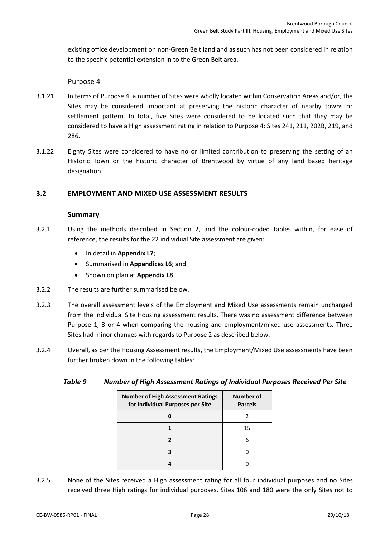existing office development on non-Green Belt land and as such has not been considered in relation to the specific potential extension in to the Green Belt area.

### Purpose 4

- 3.1.21 In terms of Purpose 4, a number of Sites were wholly located within Conservation Areas and/or, the Sites may be considered important at preserving the historic character of nearby towns or settlement pattern. In total, five Sites were considered to be located such that they may be considered to have a High assessment rating in relation to Purpose 4: Sites 241, 211, 202B, 219, and 286.
- 3.1.22 Eighty Sites were considered to have no or limited contribution to preserving the setting of an Historic Town or the historic character of Brentwood by virtue of any land based heritage designation.

### <span id="page-28-0"></span>**3.2 EMPLOYMENT AND MIXED USE ASSESSMENT RESULTS**

#### **Summary**

- 3.2.1 Using the methods described in Section [2,](#page-10-0) and the colour-coded tables within, for ease of reference, the results for the 22 individual Site assessment are given:
	- In detail in **Appendix L7**;
	- Summarised in **Appendices L6**; and
	- Shown on plan at **Appendix L8**.
- 3.2.2 The results are further summarised below.
- 3.2.3 The overall assessment levels of the Employment and Mixed Use assessments remain unchanged from the individual Site Housing assessment results. There was no assessment difference between Purpose 1, 3 or 4 when comparing the housing and employment/mixed use assessments. Three Sites had minor changes with regards to Purpose 2 as described below.
- <span id="page-28-1"></span>3.2.4 Overall, as per the Housing Assessment results, the Employment/Mixed Use assessments have been further broken down in the following tables:

| Table 9 |  |  | <b>Number of High Assessment Ratings of Individual Purposes Received Per Site</b> |
|---------|--|--|-----------------------------------------------------------------------------------|
|---------|--|--|-----------------------------------------------------------------------------------|

| <b>Number of High Assessment Ratings</b><br>for Individual Purposes per Site | Number of<br><b>Parcels</b> |
|------------------------------------------------------------------------------|-----------------------------|
|                                                                              |                             |
|                                                                              | 15                          |
| 7                                                                            | 6                           |
|                                                                              |                             |
|                                                                              |                             |

3.2.5 None of the Sites received a High assessment rating for all four individual purposes and no Sites received three High ratings for individual purposes. Sites 106 and 180 were the only Sites not to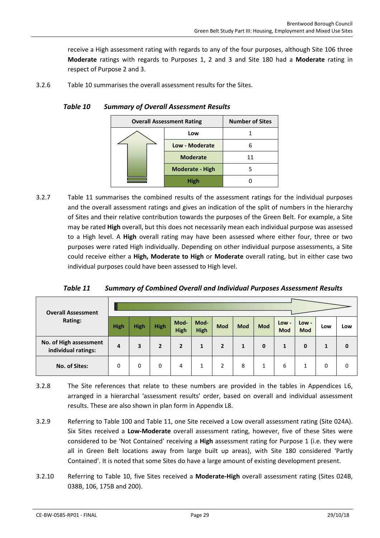receive a High assessment rating with regards to any of the four purposes, although Site 106 three **Moderate** ratings with regards to Purposes 1, 2 and 3 and Site 180 had a **Moderate** rating in respect of Purpose 2 and 3.

<span id="page-29-0"></span>3.2.6 [Table 10](#page-29-0) summarises the overall assessment results for the Sites.

| <b>Overall Assessment Rating</b> | <b>Number of Sites</b> |  |  |  |  |
|----------------------------------|------------------------|--|--|--|--|
|                                  | Low                    |  |  |  |  |
|                                  | Low - Moderate         |  |  |  |  |
|                                  | <b>Moderate</b>        |  |  |  |  |
|                                  | <b>Moderate - High</b> |  |  |  |  |
|                                  |                        |  |  |  |  |

3.2.7 [Table 11](#page-29-1) summarises the combined results of the assessment ratings for the individual purposes and the overall assessment ratings and gives an indication of the split of numbers in the hierarchy of Sites and their relative contribution towards the purposes of the Green Belt. For example, a Site may be rated **High** overall, but this does not necessarily mean each individual purpose was assessed to a High level. A **High** overall rating may have been assessed where either four, three or two purposes were rated High individually. Depending on other individual purpose assessments, a Site could receive either a **High, Moderate to High** or **Moderate** overall rating, but in either case two individual purposes could have been assessed to High level.

*Table 11 Summary of Combined Overall and Individual Purposes Assessment Results*

<span id="page-29-1"></span>

| <b>Overall Assessment</b>                     |             |             |             |                     |                     |              |            |              |                     |                       |     |     |
|-----------------------------------------------|-------------|-------------|-------------|---------------------|---------------------|--------------|------------|--------------|---------------------|-----------------------|-----|-----|
| Rating:                                       | <b>High</b> | <b>High</b> | <b>High</b> | Mod-<br><b>High</b> | Mod-<br><b>High</b> | Mod          | <b>Mod</b> | Mod          | Low -<br><b>Mod</b> | $Low -$<br><b>Mod</b> | Low | Low |
| No. of High assessment<br>individual ratings: | 4           | 3           | 2           | $\overline{2}$      |                     | $\mathbf{2}$ | 1          | $\mathbf{0}$ | 1                   | $\bf{0}$              | 1   |     |
| No. of Sites:                                 | 0           | 0           | 0           | 4                   | 1                   | 2            | 8          | 1            | 6                   | 1                     | 0   | U   |

- 3.2.8 The Site references that relate to these numbers are provided in the tables in Appendices L6, arranged in a hierarchal 'assessment results' order, based on overall and individual assessment results. These are also shown in plan form in Appendix L8.
- 3.2.9 Referring to [Table 100](#page-29-0) and [Table 11,](#page-29-1) one Site received a Low overall assessment rating (Site 024A). Six Sites received a **Low-Moderate** overall assessment rating, however, five of these Sites were considered to be 'Not Contained' receiving a **High** assessment rating for Purpose 1 (i.e. they were all in Green Belt locations away from large built up areas), with Site 180 considered 'Partly Contained'. It is noted that some Sites do have a large amount of existing development present.
- 3.2.10 Referring to [Table 10,](#page-29-0) five Sites received a **Moderate-High** overall assessment rating (Sites 024B, 038B, 106, 175B and 200).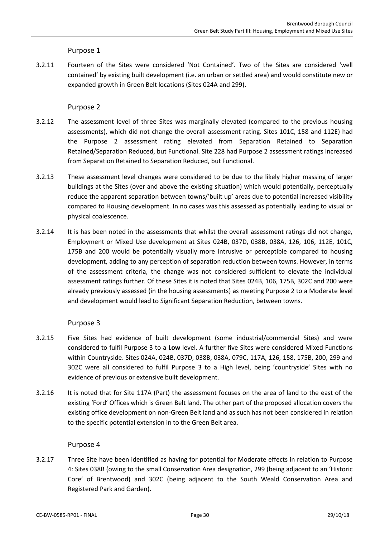Purpose 1

3.2.11 Fourteen of the Sites were considered 'Not Contained'. Two of the Sites are considered 'well contained' by existing built development (i.e. an urban or settled area) and would constitute new or expanded growth in Green Belt locations (Sites 024A and 299).

### Purpose 2

- 3.2.12 The assessment level of three Sites was marginally elevated (compared to the previous housing assessments), which did not change the overall assessment rating. Sites 101C, 158 and 112E) had the Purpose 2 assessment rating elevated from Separation Retained to Separation Retained/Separation Reduced, but Functional. Site 228 had Purpose 2 assessment ratings increased from Separation Retained to Separation Reduced, but Functional.
- 3.2.13 These assessment level changes were considered to be due to the likely higher massing of larger buildings at the Sites (over and above the existing situation) which would potentially, perceptually reduce the apparent separation between towns/'built up' areas due to potential increased visibility compared to Housing development. In no cases was this assessed as potentially leading to visual or physical coalescence.
- 3.2.14 It is has been noted in the assessments that whilst the overall assessment ratings did not change, Employment or Mixed Use development at Sites 024B, 037D, 038B, 038A, 126, 106, 112E, 101C, 175B and 200 would be potentially visually more intrusive or perceptible compared to housing development, adding to any perception of separation reduction between towns. However, in terms of the assessment criteria, the change was not considered sufficient to elevate the individual assessment ratings further. Of these Sites it is noted that Sites 024B, 106, 175B, 302C and 200 were already previously assessed (in the housing assessments) as meeting Purpose 2 to a Moderate level and development would lead to Significant Separation Reduction, between towns.

### Purpose 3

- 3.2.15 Five Sites had evidence of built development (some industrial/commercial Sites) and were considered to fulfil Purpose 3 to a **Low** level. A further five Sites were considered Mixed Functions within Countryside. Sites 024A, 024B, 037D, 038B, 038A, 079C, 117A, 126, 158, 175B, 200, 299 and 302C were all considered to fulfil Purpose 3 to a High level, being 'countryside' Sites with no evidence of previous or extensive built development.
- 3.2.16 It is noted that for Site 117A (Part) the assessment focuses on the area of land to the east of the existing 'Ford' Offices which is Green Belt land. The other part of the proposed allocation covers the existing office development on non-Green Belt land and as such has not been considered in relation to the specific potential extension in to the Green Belt area.

### Purpose 4

3.2.17 Three Site have been identified as having for potential for Moderate effects in relation to Purpose 4: Sites 038B (owing to the small Conservation Area designation, 299 (being adjacent to an 'Historic Core' of Brentwood) and 302C (being adjacent to the South Weald Conservation Area and Registered Park and Garden).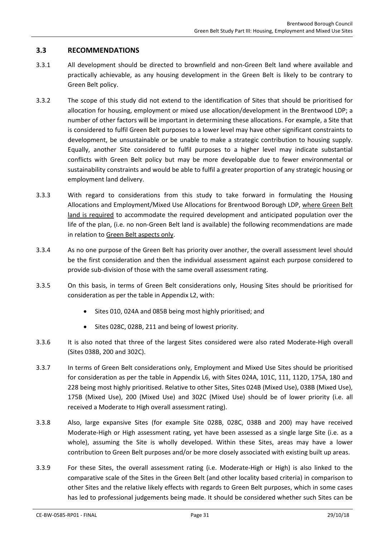### <span id="page-31-0"></span>**3.3 RECOMMENDATIONS**

- 3.3.1 All development should be directed to brownfield and non-Green Belt land where available and practically achievable, as any housing development in the Green Belt is likely to be contrary to Green Belt policy.
- 3.3.2 The scope of this study did not extend to the identification of Sites that should be prioritised for allocation for housing, employment or mixed use allocation/development in the Brentwood LDP; a number of other factors will be important in determining these allocations. For example, a Site that is considered to fulfil Green Belt purposes to a lower level may have other significant constraints to development, be unsustainable or be unable to make a strategic contribution to housing supply. Equally, another Site considered to fulfil purposes to a higher level may indicate substantial conflicts with Green Belt policy but may be more developable due to fewer environmental or sustainability constraints and would be able to fulfil a greater proportion of any strategic housing or employment land delivery.
- 3.3.3 With regard to considerations from this study to take forward in formulating the Housing Allocations and Employment/Mixed Use Allocations for Brentwood Borough LDP, where Green Belt land is required to accommodate the required development and anticipated population over the life of the plan, (i.e. no non-Green Belt land is available) the following recommendations are made in relation to Green Belt aspects only.
- 3.3.4 As no one purpose of the Green Belt has priority over another, the overall assessment level should be the first consideration and then the individual assessment against each purpose considered to provide sub-division of those with the same overall assessment rating.
- 3.3.5 On this basis, in terms of Green Belt considerations only, Housing Sites should be prioritised for consideration as per the table in Appendix L2, with:
	- Sites 010, 024A and 085B being most highly prioritised; and
	- Sites 028C, 028B, 211 and being of lowest priority.
- 3.3.6 It is also noted that three of the largest Sites considered were also rated Moderate-High overall (Sites 038B, 200 and 302C).
- 3.3.7 In terms of Green Belt considerations only, Employment and Mixed Use Sites should be prioritised for consideration as per the table in Appendix L6, with Sites 024A, 101C, 111, 112D, 175A, 180 and 228 being most highly prioritised. Relative to other Sites, Sites 024B (Mixed Use), 038B (Mixed Use), 175B (Mixed Use), 200 (Mixed Use) and 302C (Mixed Use) should be of lower priority (i.e. all received a Moderate to High overall assessment rating).
- 3.3.8 Also, large expansive Sites (for example Site 028B, 028C, 038B and 200) may have received Moderate-High or High assessment rating, yet have been assessed as a single large Site (i.e. as a whole), assuming the Site is wholly developed. Within these Sites, areas may have a lower contribution to Green Belt purposes and/or be more closely associated with existing built up areas.
- 3.3.9 For these Sites, the overall assessment rating (i.e. Moderate-High or High) is also linked to the comparative scale of the Sites in the Green Belt (and other locality based criteria) in comparison to other Sites and the relative likely effects with regards to Green Belt purposes, which in some cases has led to professional judgements being made. It should be considered whether such Sites can be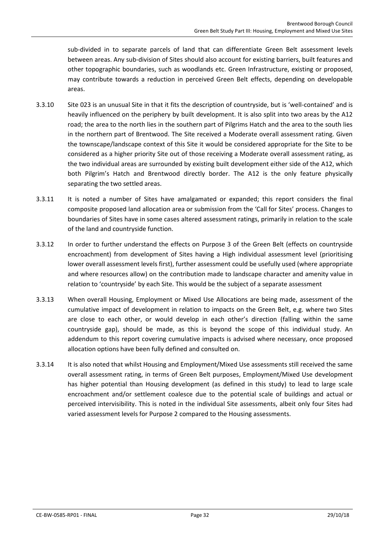sub-divided in to separate parcels of land that can differentiate Green Belt assessment levels between areas. Any sub-division of Sites should also account for existing barriers, built features and other topographic boundaries, such as woodlands etc. Green Infrastructure, existing or proposed, may contribute towards a reduction in perceived Green Belt effects, depending on developable areas.

- 3.3.10 Site 023 is an unusual Site in that it fits the description of countryside, but is 'well-contained' and is heavily influenced on the periphery by built development. It is also split into two areas by the A12 road; the area to the north lies in the southern part of Pilgrims Hatch and the area to the south lies in the northern part of Brentwood. The Site received a Moderate overall assessment rating. Given the townscape/landscape context of this Site it would be considered appropriate for the Site to be considered as a higher priority Site out of those receiving a Moderate overall assessment rating, as the two individual areas are surrounded by existing built development either side of the A12, which both Pilgrim's Hatch and Brentwood directly border. The A12 is the only feature physically separating the two settled areas.
- 3.3.11 It is noted a number of Sites have amalgamated or expanded; this report considers the final composite proposed land allocation area or submission from the 'Call for Sites' process. Changes to boundaries of Sites have in some cases altered assessment ratings, primarily in relation to the scale of the land and countryside function.
- 3.3.12 In order to further understand the effects on Purpose 3 of the Green Belt (effects on countryside encroachment) from development of Sites having a High individual assessment level (prioritising lower overall assessment levels first), further assessment could be usefully used (where appropriate and where resources allow) on the contribution made to landscape character and amenity value in relation to 'countryside' by each Site. This would be the subject of a separate assessment
- 3.3.13 When overall Housing, Employment or Mixed Use Allocations are being made, assessment of the cumulative impact of development in relation to impacts on the Green Belt, e.g. where two Sites are close to each other, or would develop in each other's direction (falling within the same countryside gap), should be made, as this is beyond the scope of this individual study. An addendum to this report covering cumulative impacts is advised where necessary, once proposed allocation options have been fully defined and consulted on.
- 3.3.14 It is also noted that whilst Housing and Employment/Mixed Use assessments still received the same overall assessment rating, in terms of Green Belt purposes, Employment/Mixed Use development has higher potential than Housing development (as defined in this study) to lead to large scale encroachment and/or settlement coalesce due to the potential scale of buildings and actual or perceived intervisibility. This is noted in the individual Site assessments, albeit only four Sites had varied assessment levels for Purpose 2 compared to the Housing assessments.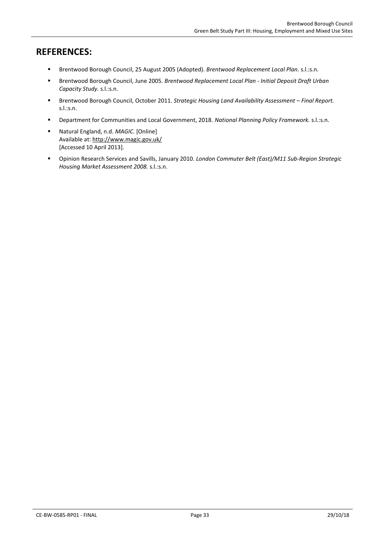# **REFERENCES:**

- Brentwood Borough Council, 25 August 2005 (Adopted). *Brentwood Replacement Local Plan.* s.l.:s.n.
- Brentwood Borough Council, June 2005. *Brentwood Replacement Local Plan - Initial Deposit Draft Urban Capacity Study.* s.l.:s.n.
- Brentwood Borough Council, October 2011. *Strategic Housing Land Availability Assessment Final Report.* s.l.:s.n.
- Department for Communities and Local Government, 2018. *National Planning Policy Framework.* s.l.:s.n.
- Natural England, n.d. *MAGIC.* [Online] Available at: http://www.magic.gov.uk/ [Accessed 10 April 2013].
- Opinion Research Services and Savills, January 2010. *London Commuter Belt (East)/M11 Sub-Region Strategic Housing Market Assessment 2008.* s.l.:s.n.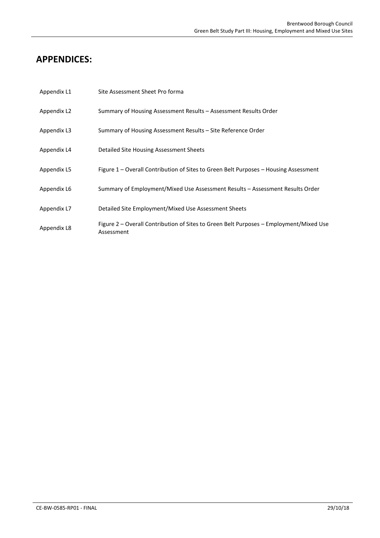# **APPENDICES:**

| Appendix L1 | Site Assessment Sheet Pro forma                                                                      |
|-------------|------------------------------------------------------------------------------------------------------|
| Appendix L2 | Summary of Housing Assessment Results - Assessment Results Order                                     |
| Appendix L3 | Summary of Housing Assessment Results – Site Reference Order                                         |
| Appendix L4 | Detailed Site Housing Assessment Sheets                                                              |
| Appendix L5 | Figure 1 – Overall Contribution of Sites to Green Belt Purposes – Housing Assessment                 |
| Appendix L6 | Summary of Employment/Mixed Use Assessment Results – Assessment Results Order                        |
| Appendix L7 | Detailed Site Employment/Mixed Use Assessment Sheets                                                 |
| Appendix L8 | Figure 2 – Overall Contribution of Sites to Green Belt Purposes – Employment/Mixed Use<br>Assessment |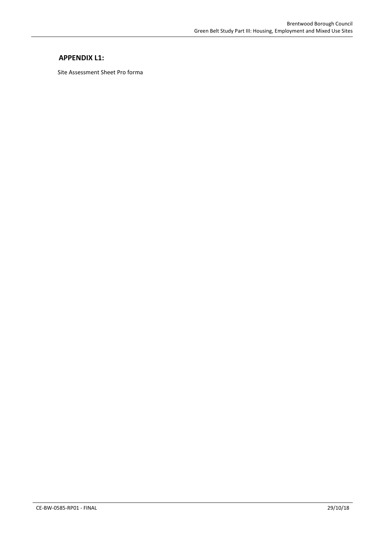### **APPENDIX L1:**

Site Assessment Sheet Pro forma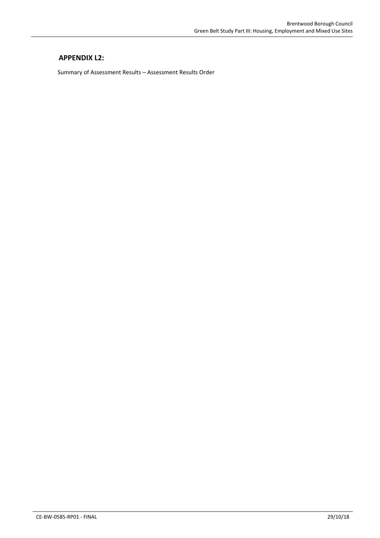# **APPENDIX L2:**

Summary of Assessment Results – Assessment Results Order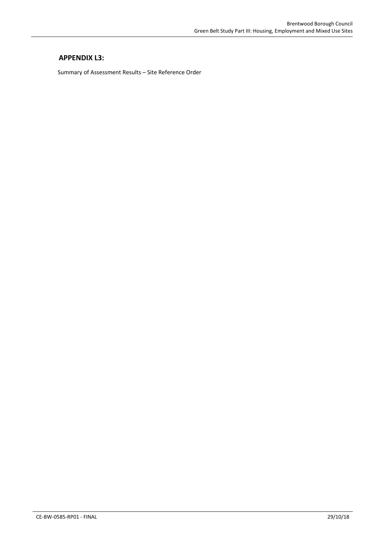# **APPENDIX L3:**

Summary of Assessment Results – Site Reference Order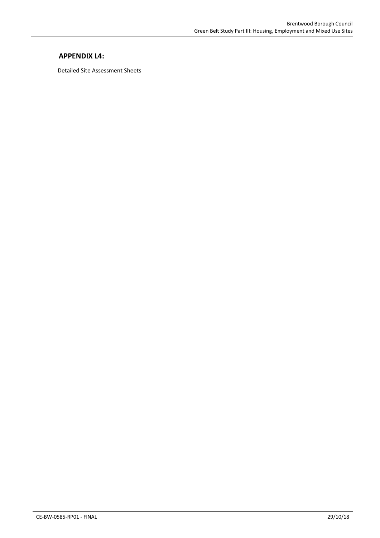# **APPENDIX L4:**

Detailed Site Assessment Sheets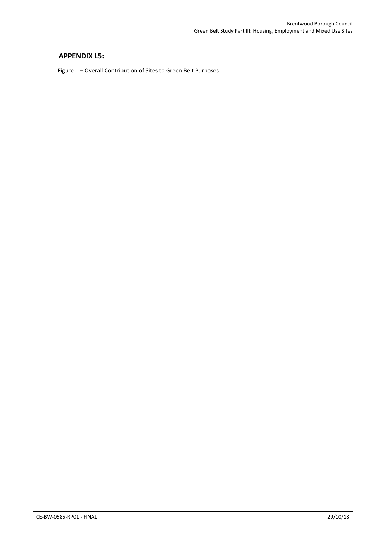# **APPENDIX L5:**

Figure 1 – Overall Contribution of Sites to Green Belt Purposes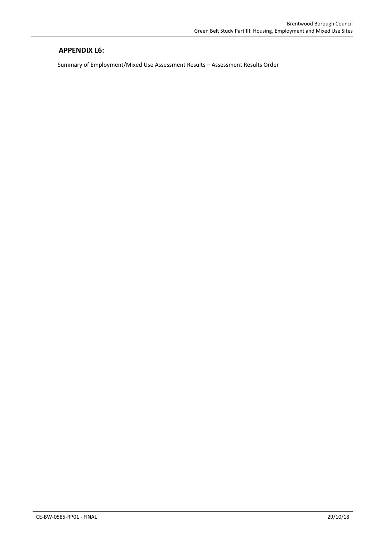# **APPENDIX L6:**

Summary of Employment/Mixed Use Assessment Results – Assessment Results Order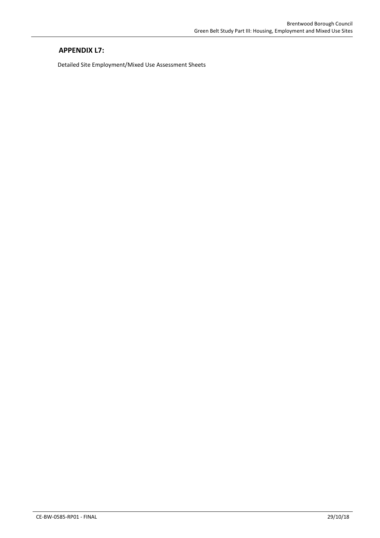# **APPENDIX L7:**

Detailed Site Employment/Mixed Use Assessment Sheets